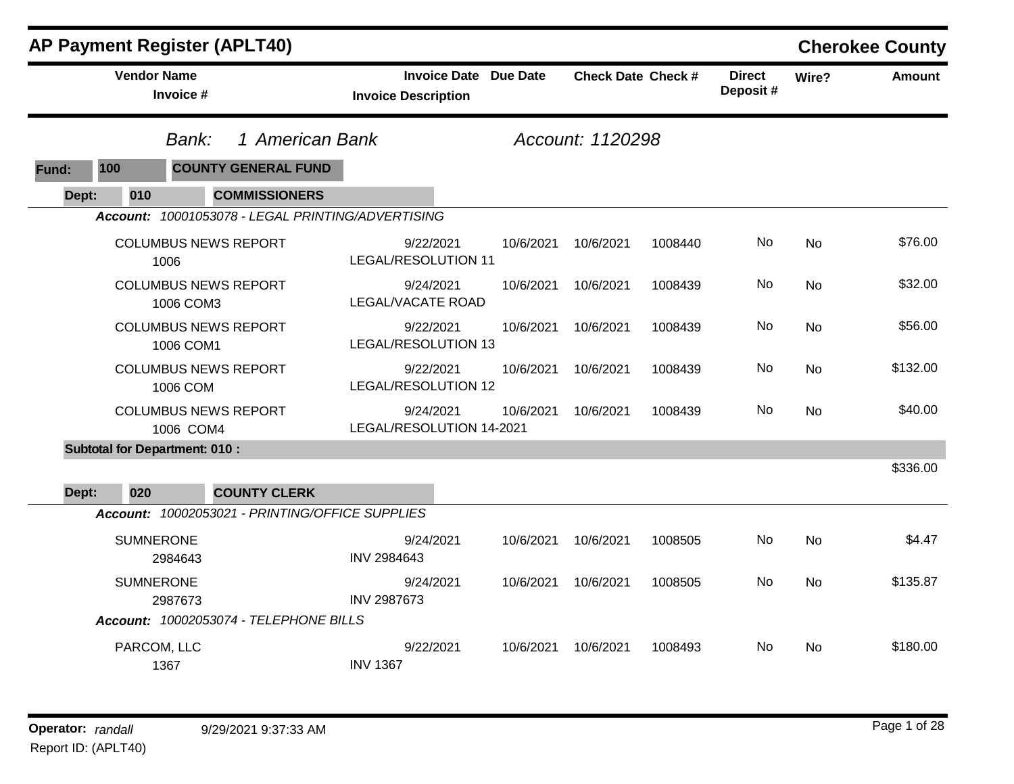|       | <b>AP Payment Register (APLT40)</b>  |                     |                                                   |                                       |                              |           |                           |         |                           |           | <b>Cherokee County</b> |
|-------|--------------------------------------|---------------------|---------------------------------------------------|---------------------------------------|------------------------------|-----------|---------------------------|---------|---------------------------|-----------|------------------------|
|       | <b>Vendor Name</b>                   | Invoice #           |                                                   | <b>Invoice Description</b>            | <b>Invoice Date Due Date</b> |           | <b>Check Date Check #</b> |         | <b>Direct</b><br>Deposit# | Wire?     | <b>Amount</b>          |
|       |                                      | Bank:               | 1 American Bank                                   |                                       |                              |           | Account: 1120298          |         |                           |           |                        |
| Fund: | 100                                  |                     | <b>COUNTY GENERAL FUND</b>                        |                                       |                              |           |                           |         |                           |           |                        |
| Dept: | 010                                  |                     | <b>COMMISSIONERS</b>                              |                                       |                              |           |                           |         |                           |           |                        |
|       |                                      |                     | Account: 10001053078 - LEGAL PRINTING/ADVERTISING |                                       |                              |           |                           |         |                           |           |                        |
|       |                                      | 1006                | <b>COLUMBUS NEWS REPORT</b>                       | 9/22/2021<br>LEGAL/RESOLUTION 11      |                              | 10/6/2021 | 10/6/2021                 | 1008440 | No                        | <b>No</b> | \$76.00                |
|       |                                      | 1006 COM3           | <b>COLUMBUS NEWS REPORT</b>                       | 9/24/2021<br>LEGAL/VACATE ROAD        |                              | 10/6/2021 | 10/6/2021                 | 1008439 | No                        | <b>No</b> | \$32.00                |
|       |                                      | 1006 COM1           | <b>COLUMBUS NEWS REPORT</b>                       | 9/22/2021<br>LEGAL/RESOLUTION 13      |                              | 10/6/2021 | 10/6/2021                 | 1008439 | No                        | <b>No</b> | \$56.00                |
|       |                                      | 1006 COM            | <b>COLUMBUS NEWS REPORT</b>                       | 9/22/2021<br>LEGAL/RESOLUTION 12      |                              | 10/6/2021 | 10/6/2021                 | 1008439 | No.                       | <b>No</b> | \$132.00               |
|       |                                      | 1006 COM4           | <b>COLUMBUS NEWS REPORT</b>                       | 9/24/2021<br>LEGAL/RESOLUTION 14-2021 |                              | 10/6/2021 | 10/6/2021                 | 1008439 | No                        | No        | \$40.00                |
|       | <b>Subtotal for Department: 010:</b> |                     |                                                   |                                       |                              |           |                           |         |                           |           |                        |
| Dept: | 020                                  |                     | <b>COUNTY CLERK</b>                               |                                       |                              |           |                           |         |                           |           | \$336.00               |
|       |                                      |                     | Account: 10002053021 - PRINTING/OFFICE SUPPLIES   |                                       |                              |           |                           |         |                           |           |                        |
|       | <b>SUMNERONE</b>                     | 2984643             |                                                   | 9/24/2021<br>INV 2984643              |                              | 10/6/2021 | 10/6/2021                 | 1008505 | No                        | <b>No</b> | \$4.47                 |
|       | <b>SUMNERONE</b>                     | 2987673             |                                                   | 9/24/2021<br>INV 2987673              |                              | 10/6/2021 | 10/6/2021                 | 1008505 | No                        | <b>No</b> | \$135.87               |
|       |                                      |                     | Account: 10002053074 - TELEPHONE BILLS            |                                       |                              |           |                           |         |                           |           |                        |
|       |                                      | PARCOM, LLC<br>1367 |                                                   | 9/22/2021<br><b>INV 1367</b>          |                              | 10/6/2021 | 10/6/2021                 | 1008493 | No.                       | No        | \$180.00               |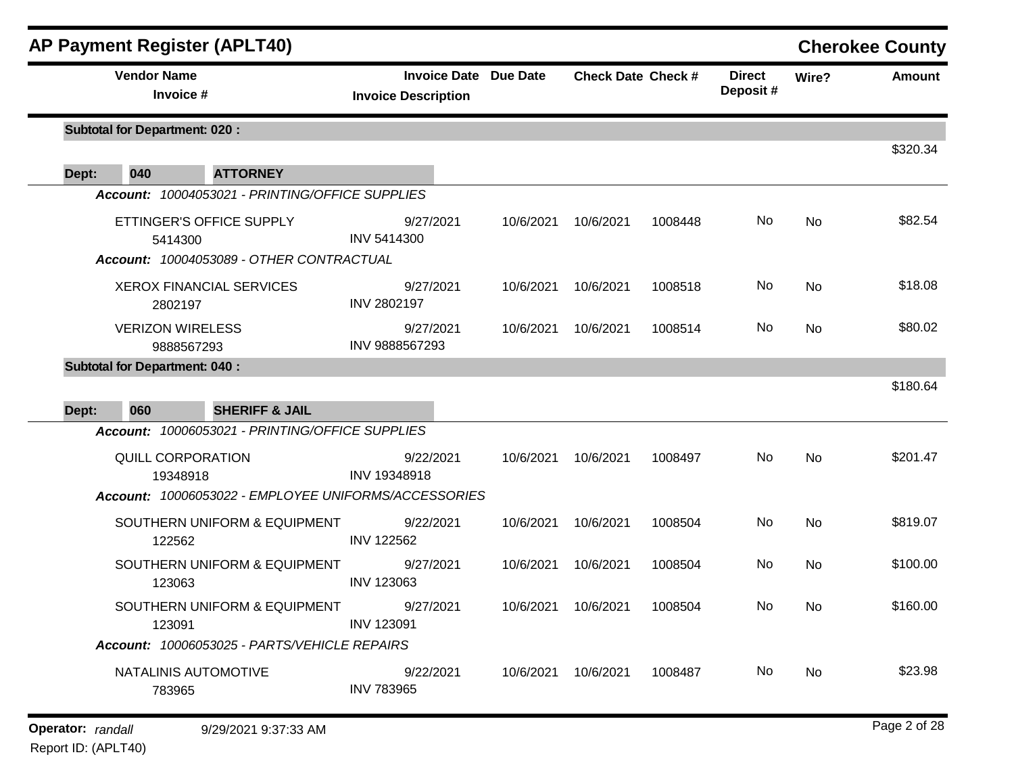|       | <b>AP Payment Register (APLT40)</b>                  |                                                            |           |                               |         |                           |       | <b>Cherokee County</b> |
|-------|------------------------------------------------------|------------------------------------------------------------|-----------|-------------------------------|---------|---------------------------|-------|------------------------|
|       | <b>Vendor Name</b><br>Invoice #                      | <b>Invoice Date Due Date</b><br><b>Invoice Description</b> |           | <b>Check Date Check #</b>     |         | <b>Direct</b><br>Deposit# | Wire? | Amount                 |
|       | <b>Subtotal for Department: 020:</b>                 |                                                            |           |                               |         |                           |       | \$320.34               |
| Dept: | 040<br><b>ATTORNEY</b>                               |                                                            |           |                               |         |                           |       |                        |
|       | Account: 10004053021 - PRINTING/OFFICE SUPPLIES      |                                                            |           |                               |         |                           |       |                        |
|       | ETTINGER'S OFFICE SUPPLY<br>5414300                  | 9/27/2021<br><b>INV 5414300</b>                            | 10/6/2021 | 10/6/2021                     | 1008448 | No                        | No    | \$82.54                |
|       | Account: 10004053089 - OTHER CONTRACTUAL             |                                                            |           |                               |         |                           |       |                        |
|       | <b>XEROX FINANCIAL SERVICES</b><br>2802197           | 9/27/2021<br><b>INV 2802197</b>                            | 10/6/2021 | 10/6/2021                     | 1008518 | No                        | No    | \$18.08                |
|       | <b>VERIZON WIRELESS</b><br>9888567293                | 9/27/2021<br>INV 9888567293                                | 10/6/2021 | 10/6/2021                     | 1008514 | No                        | No    | \$80.02                |
|       | <b>Subtotal for Department: 040:</b>                 |                                                            |           |                               |         |                           |       |                        |
| Dept: | 060<br><b>SHERIFF &amp; JAIL</b>                     |                                                            |           |                               |         |                           |       | \$180.64               |
|       | Account: 10006053021 - PRINTING/OFFICE SUPPLIES      |                                                            |           |                               |         |                           |       |                        |
|       | <b>QUILL CORPORATION</b><br>19348918                 | 9/22/2021<br>INV 19348918                                  | 10/6/2021 | 10/6/2021                     | 1008497 | No                        | No    | \$201.47               |
|       | Account: 10006053022 - EMPLOYEE UNIFORMS/ACCESSORIES |                                                            |           |                               |         |                           |       |                        |
|       | SOUTHERN UNIFORM & EQUIPMENT<br>122562               | 9/22/2021<br><b>INV 122562</b>                             | 10/6/2021 | 10/6/2021                     | 1008504 | No                        | No    | \$819.07               |
|       | SOUTHERN UNIFORM & EQUIPMENT<br>123063               | 9/27/2021<br><b>INV 123063</b>                             | 10/6/2021 | 10/6/2021                     | 1008504 | No                        | No    | \$100.00               |
|       | SOUTHERN UNIFORM & EQUIPMENT<br>123091               | 9/27/2021<br>INV 123091                                    |           | 10/6/2021  10/6/2021  1008504 |         | No                        | No    | \$160.00               |
|       | Account: 10006053025 - PARTS/VEHICLE REPAIRS         |                                                            |           |                               |         |                           |       |                        |
|       | NATALINIS AUTOMOTIVE<br>783965                       | 9/22/2021<br><b>INV 783965</b>                             |           | 10/6/2021 10/6/2021           | 1008487 | No.                       | No    | \$23.98                |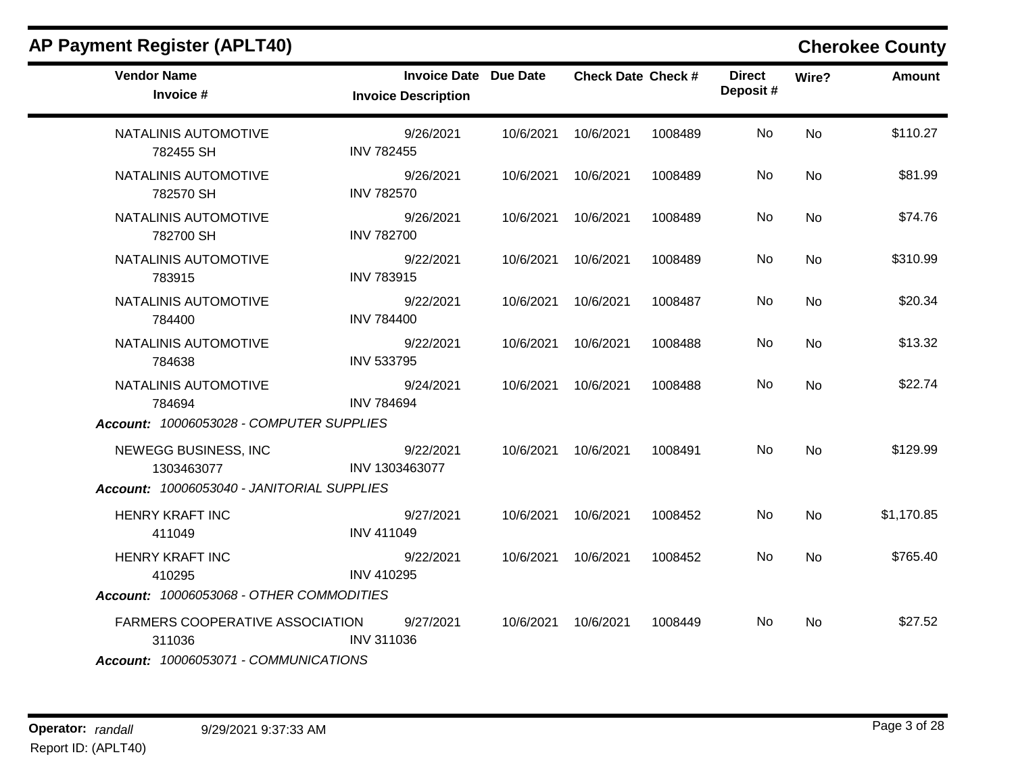| <b>Vendor Name</b><br>Invoice #                                                    | <b>Invoice Date Due Date</b><br><b>Invoice Description</b> | <b>Check Date Check #</b> |         | <b>Direct</b><br>Deposit# | Wire?     | <b>Amount</b> |
|------------------------------------------------------------------------------------|------------------------------------------------------------|---------------------------|---------|---------------------------|-----------|---------------|
| NATALINIS AUTOMOTIVE<br>782455 SH                                                  | 9/26/2021<br><b>INV 782455</b>                             | 10/6/2021 10/6/2021       | 1008489 | No                        | <b>No</b> | \$110.27      |
| NATALINIS AUTOMOTIVE<br>782570 SH                                                  | 9/26/2021<br><b>INV 782570</b>                             | 10/6/2021 10/6/2021       | 1008489 | No                        | <b>No</b> | \$81.99       |
| NATALINIS AUTOMOTIVE<br>782700 SH                                                  | 9/26/2021<br><b>INV 782700</b>                             | 10/6/2021 10/6/2021       | 1008489 | No                        | <b>No</b> | \$74.76       |
| NATALINIS AUTOMOTIVE<br>783915                                                     | 9/22/2021<br><b>INV 783915</b>                             | 10/6/2021 10/6/2021       | 1008489 | No                        | <b>No</b> | \$310.99      |
| NATALINIS AUTOMOTIVE<br>784400                                                     | 9/22/2021<br><b>INV 784400</b>                             | 10/6/2021  10/6/2021      | 1008487 | No                        | <b>No</b> | \$20.34       |
| NATALINIS AUTOMOTIVE<br>784638                                                     | 9/22/2021<br><b>INV 533795</b>                             | 10/6/2021 10/6/2021       | 1008488 | No                        | <b>No</b> | \$13.32       |
| NATALINIS AUTOMOTIVE<br>784694                                                     | 9/24/2021<br><b>INV 784694</b>                             | 10/6/2021 10/6/2021       | 1008488 | No                        | <b>No</b> | \$22.74       |
| Account: 10006053028 - COMPUTER SUPPLIES                                           |                                                            |                           |         |                           |           |               |
| NEWEGG BUSINESS, INC<br>1303463077                                                 | 9/22/2021<br>INV 1303463077                                | 10/6/2021 10/6/2021       | 1008491 | No                        | <b>No</b> | \$129.99      |
| Account: 10006053040 - JANITORIAL SUPPLIES                                         |                                                            |                           |         |                           |           |               |
| <b>HENRY KRAFT INC</b><br>411049                                                   | 9/27/2021<br><b>INV 411049</b>                             | 10/6/2021 10/6/2021       | 1008452 | No                        | <b>No</b> | \$1,170.85    |
| <b>HENRY KRAFT INC</b><br>410295                                                   | 9/22/2021<br><b>INV 410295</b>                             | 10/6/2021 10/6/2021       | 1008452 | No                        | <b>No</b> | \$765.40      |
| Account: 10006053068 - OTHER COMMODITIES                                           |                                                            |                           |         |                           |           |               |
| FARMERS COOPERATIVE ASSOCIATION<br>311036<br>Account: 10006053071 - COMMUNICATIONS | 9/27/2021<br><b>INV 311036</b>                             | 10/6/2021 10/6/2021       | 1008449 | No                        | No        | \$27.52       |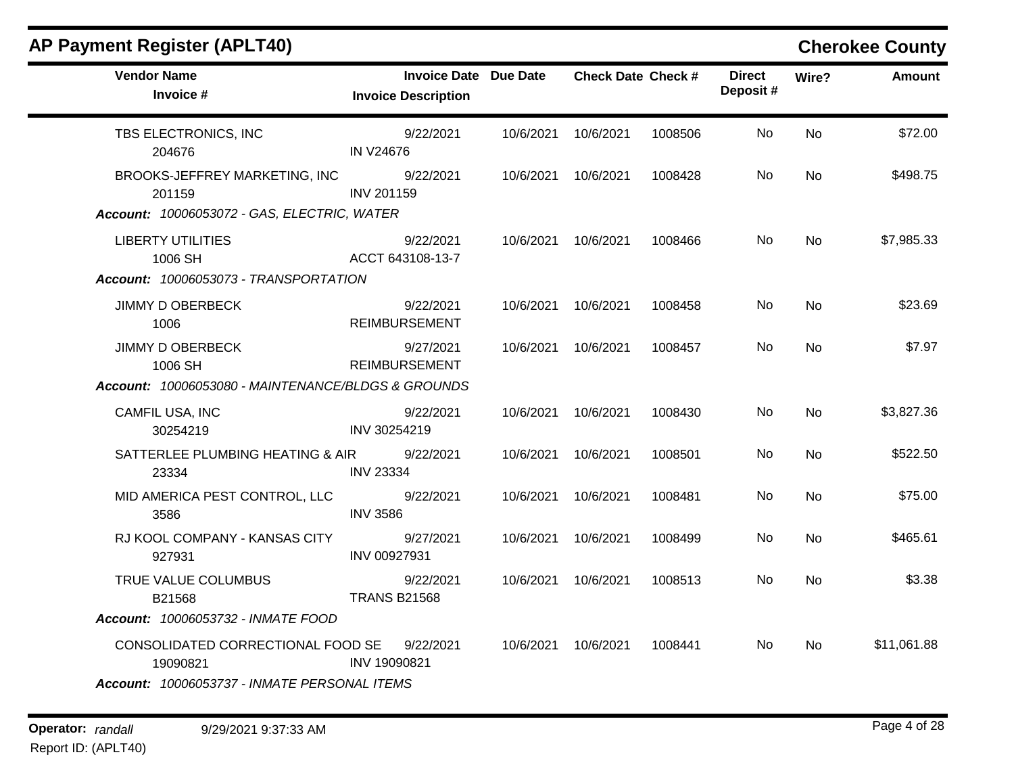| <b>AP Payment Register (APLT40)</b>                                                           |                                                            |           |                           |         |                           |           | <b>Cherokee County</b> |
|-----------------------------------------------------------------------------------------------|------------------------------------------------------------|-----------|---------------------------|---------|---------------------------|-----------|------------------------|
| <b>Vendor Name</b><br>Invoice #                                                               | <b>Invoice Date Due Date</b><br><b>Invoice Description</b> |           | <b>Check Date Check #</b> |         | <b>Direct</b><br>Deposit# | Wire?     | <b>Amount</b>          |
| TBS ELECTRONICS, INC<br>204676                                                                | 9/22/2021<br><b>IN V24676</b>                              | 10/6/2021 | 10/6/2021                 | 1008506 | No.                       | <b>No</b> | \$72.00                |
| BROOKS-JEFFREY MARKETING, INC<br>201159<br>Account: 10006053072 - GAS, ELECTRIC, WATER        | 9/22/2021<br><b>INV 201159</b>                             | 10/6/2021 | 10/6/2021                 | 1008428 | No                        | No.       | \$498.75               |
| <b>LIBERTY UTILITIES</b><br>1006 SH<br>Account: 10006053073 - TRANSPORTATION                  | 9/22/2021<br>ACCT 643108-13-7                              |           | 10/6/2021 10/6/2021       | 1008466 | No                        | No        | \$7,985.33             |
| <b>JIMMY D OBERBECK</b><br>1006                                                               | 9/22/2021<br><b>REIMBURSEMENT</b>                          |           | 10/6/2021  10/6/2021      | 1008458 | No                        | No        | \$23.69                |
| <b>JIMMY D OBERBECK</b><br>1006 SH<br>Account: 10006053080 - MAINTENANCE/BLDGS & GROUNDS      | 9/27/2021<br><b>REIMBURSEMENT</b>                          |           | 10/6/2021 10/6/2021       | 1008457 | No.                       | No        | \$7.97                 |
| CAMFIL USA, INC<br>30254219                                                                   | 9/22/2021<br>INV 30254219                                  | 10/6/2021 | 10/6/2021                 | 1008430 | No.                       | <b>No</b> | \$3,827.36             |
| SATTERLEE PLUMBING HEATING & AIR<br>23334                                                     | 9/22/2021<br><b>INV 23334</b>                              | 10/6/2021 | 10/6/2021                 | 1008501 | No.                       | <b>No</b> | \$522.50               |
| MID AMERICA PEST CONTROL, LLC<br>3586                                                         | 9/22/2021<br><b>INV 3586</b>                               | 10/6/2021 | 10/6/2021                 | 1008481 | No                        | No        | \$75.00                |
| RJ KOOL COMPANY - KANSAS CITY<br>927931                                                       | 9/27/2021<br>INV 00927931                                  |           | 10/6/2021 10/6/2021       | 1008499 | No.                       | No.       | \$465.61               |
| TRUE VALUE COLUMBUS<br>B21568                                                                 | 9/22/2021<br><b>TRANS B21568</b>                           |           | 10/6/2021 10/6/2021       | 1008513 | No                        | No.       | \$3.38                 |
| Account: 10006053732 - INMATE FOOD                                                            |                                                            |           |                           |         |                           |           |                        |
| CONSOLIDATED CORRECTIONAL FOOD SE<br>19090821<br>Account: 10006053737 - INMATE PERSONAL ITEMS | 9/22/2021<br>INV 19090821                                  |           | 10/6/2021 10/6/2021       | 1008441 | No                        | No.       | \$11,061.88            |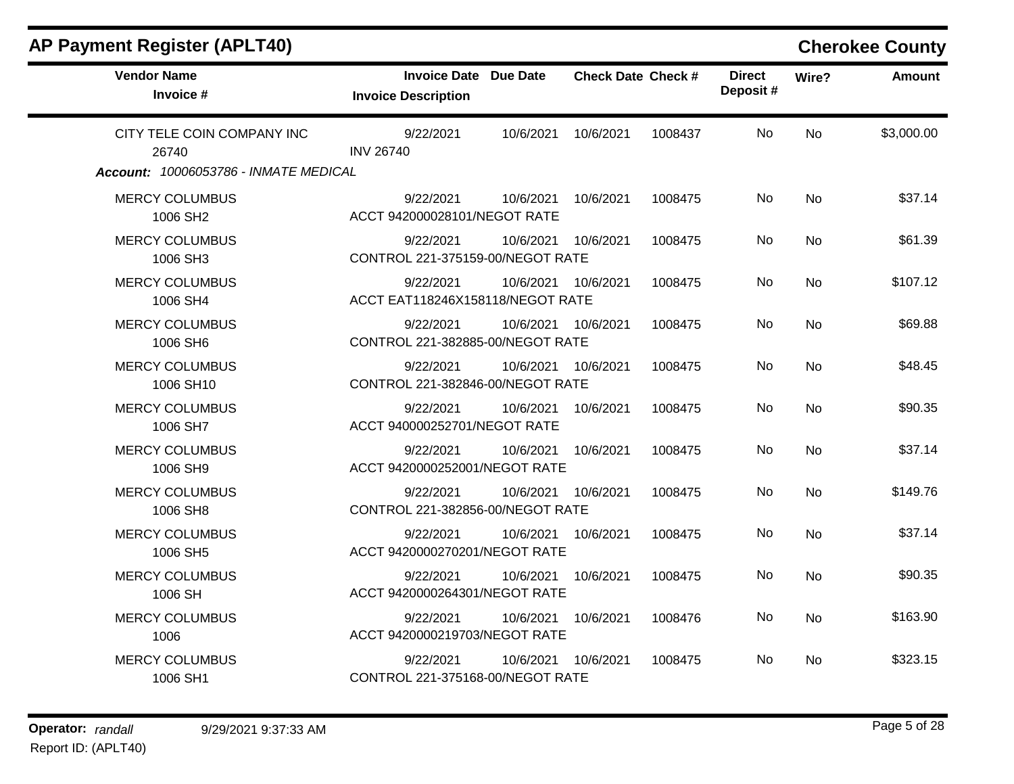| <b>Vendor Name</b><br>Invoice #                                              | <b>Invoice Date Due Date</b><br><b>Invoice Description</b> | <b>Check Date Check #</b> |         | <b>Direct</b><br>Deposit# | Wire?     | Amount     |
|------------------------------------------------------------------------------|------------------------------------------------------------|---------------------------|---------|---------------------------|-----------|------------|
| CITY TELE COIN COMPANY INC<br>26740<br>Account: 10006053786 - INMATE MEDICAL | 9/22/2021<br><b>INV 26740</b>                              | 10/6/2021<br>10/6/2021    | 1008437 | <b>No</b>                 | <b>No</b> | \$3,000.00 |
| <b>MERCY COLUMBUS</b><br>1006 SH2                                            | 9/22/2021<br>ACCT 942000028101/NEGOT RATE                  | 10/6/2021<br>10/6/2021    | 1008475 | No                        | <b>No</b> | \$37.14    |
| <b>MERCY COLUMBUS</b><br>1006 SH3                                            | 9/22/2021<br>CONTROL 221-375159-00/NEGOT RATE              | 10/6/2021<br>10/6/2021    | 1008475 | No                        | No        | \$61.39    |
| <b>MERCY COLUMBUS</b><br>1006 SH4                                            | 9/22/2021<br>ACCT EAT118246X158118/NEGOT RATE              | 10/6/2021<br>10/6/2021    | 1008475 | No                        | <b>No</b> | \$107.12   |
| <b>MERCY COLUMBUS</b><br>1006 SH6                                            | 9/22/2021<br>CONTROL 221-382885-00/NEGOT RATE              | 10/6/2021<br>10/6/2021    | 1008475 | No                        | <b>No</b> | \$69.88    |
| <b>MERCY COLUMBUS</b><br>1006 SH10                                           | 9/22/2021<br>CONTROL 221-382846-00/NEGOT RATE              | 10/6/2021<br>10/6/2021    | 1008475 | No                        | No        | \$48.45    |
| <b>MERCY COLUMBUS</b><br>1006 SH7                                            | 9/22/2021<br>ACCT 940000252701/NEGOT RATE                  | 10/6/2021<br>10/6/2021    | 1008475 | No.                       | No        | \$90.35    |
| <b>MERCY COLUMBUS</b><br>1006 SH9                                            | 9/22/2021<br>ACCT 9420000252001/NEGOT RATE                 | 10/6/2021<br>10/6/2021    | 1008475 | No                        | <b>No</b> | \$37.14    |
| <b>MERCY COLUMBUS</b><br>1006 SH8                                            | 9/22/2021<br>CONTROL 221-382856-00/NEGOT RATE              | 10/6/2021<br>10/6/2021    | 1008475 | No                        | <b>No</b> | \$149.76   |
| <b>MERCY COLUMBUS</b><br>1006 SH5                                            | 9/22/2021<br>ACCT 9420000270201/NEGOT RATE                 | 10/6/2021<br>10/6/2021    | 1008475 | No                        | <b>No</b> | \$37.14    |
| <b>MERCY COLUMBUS</b><br>1006 SH                                             | 9/22/2021<br>ACCT 9420000264301/NEGOT RATE                 | 10/6/2021<br>10/6/2021    | 1008475 | No                        | <b>No</b> | \$90.35    |
| <b>MERCY COLUMBUS</b><br>1006                                                | 9/22/2021<br>ACCT 9420000219703/NEGOT RATE                 | 10/6/2021<br>10/6/2021    | 1008476 | No                        | <b>No</b> | \$163.90   |
| <b>MERCY COLUMBUS</b><br>1006 SH1                                            | 9/22/2021<br>CONTROL 221-375168-00/NEGOT RATE              | 10/6/2021<br>10/6/2021    | 1008475 | No                        | No        | \$323.15   |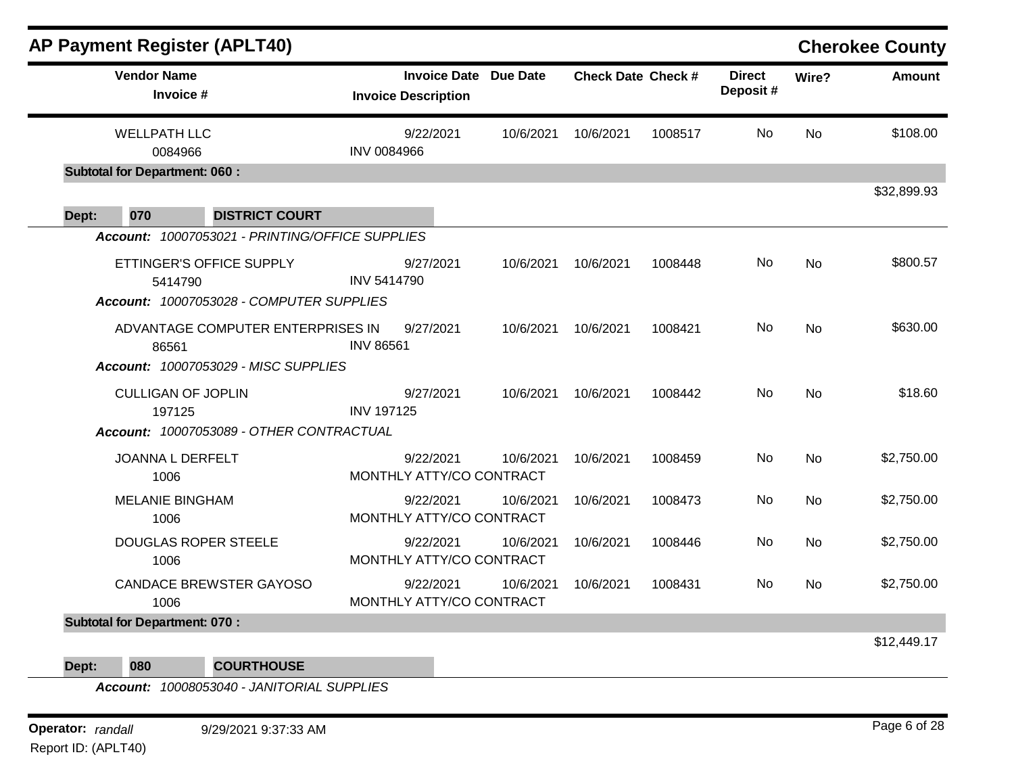|       | <b>AP Payment Register (APLT40)</b>                                                       |                                                   |           |                           |         |                           |           | <b>Cherokee County</b> |
|-------|-------------------------------------------------------------------------------------------|---------------------------------------------------|-----------|---------------------------|---------|---------------------------|-----------|------------------------|
|       | <b>Vendor Name</b><br>Invoice #                                                           | <b>Invoice Date</b><br><b>Invoice Description</b> | Due Date  | <b>Check Date Check #</b> |         | <b>Direct</b><br>Deposit# | Wire?     | <b>Amount</b>          |
|       | <b>WELLPATH LLC</b><br>0084966                                                            | 9/22/2021<br><b>INV 0084966</b>                   | 10/6/2021 | 10/6/2021                 | 1008517 | No                        | <b>No</b> | \$108.00               |
|       | <b>Subtotal for Department: 060:</b>                                                      |                                                   |           |                           |         |                           |           | \$32,899.93            |
| Dept: | 070<br><b>DISTRICT COURT</b><br>Account: 10007053021 - PRINTING/OFFICE SUPPLIES           |                                                   |           |                           |         |                           |           |                        |
|       | ETTINGER'S OFFICE SUPPLY<br>5414790<br>Account: 10007053028 - COMPUTER SUPPLIES           | 9/27/2021<br><b>INV 5414790</b>                   | 10/6/2021 | 10/6/2021                 | 1008448 | No                        | <b>No</b> | \$800.57               |
|       | ADVANTAGE COMPUTER ENTERPRISES IN<br>86561<br><b>Account: 10007053029 - MISC SUPPLIES</b> | 9/27/2021<br><b>INV 86561</b>                     | 10/6/2021 | 10/6/2021                 | 1008421 | No                        | <b>No</b> | \$630.00               |
|       | <b>CULLIGAN OF JOPLIN</b><br>197125<br>Account: 10007053089 - OTHER CONTRACTUAL           | 9/27/2021<br><b>INV 197125</b>                    | 10/6/2021 | 10/6/2021                 | 1008442 | No                        | <b>No</b> | \$18.60                |
|       | <b>JOANNA L DERFELT</b><br>1006                                                           | 9/22/2021<br>MONTHLY ATTY/CO CONTRACT             | 10/6/2021 | 10/6/2021                 | 1008459 | No                        | No        | \$2,750.00             |
|       | <b>MELANIE BINGHAM</b><br>1006                                                            | 9/22/2021<br>MONTHLY ATTY/CO CONTRACT             | 10/6/2021 | 10/6/2021                 | 1008473 | No                        | No        | \$2,750.00             |
|       | DOUGLAS ROPER STEELE<br>1006                                                              | 9/22/2021<br>MONTHLY ATTY/CO CONTRACT             | 10/6/2021 | 10/6/2021                 | 1008446 | No                        | <b>No</b> | \$2,750.00             |
|       | <b>CANDACE BREWSTER GAYOSO</b><br>1006                                                    | 9/22/2021<br>MONTHLY ATTY/CO CONTRACT             | 10/6/2021 | 10/6/2021                 | 1008431 | No                        | No        | \$2,750.00             |
|       | <b>Subtotal for Department: 070:</b>                                                      |                                                   |           |                           |         |                           |           |                        |
|       |                                                                                           |                                                   |           |                           |         |                           |           | \$12,449.17            |

**Dept: 080 COURTHOUSE**

*Account: 10008053040 - JANITORIAL SUPPLIES*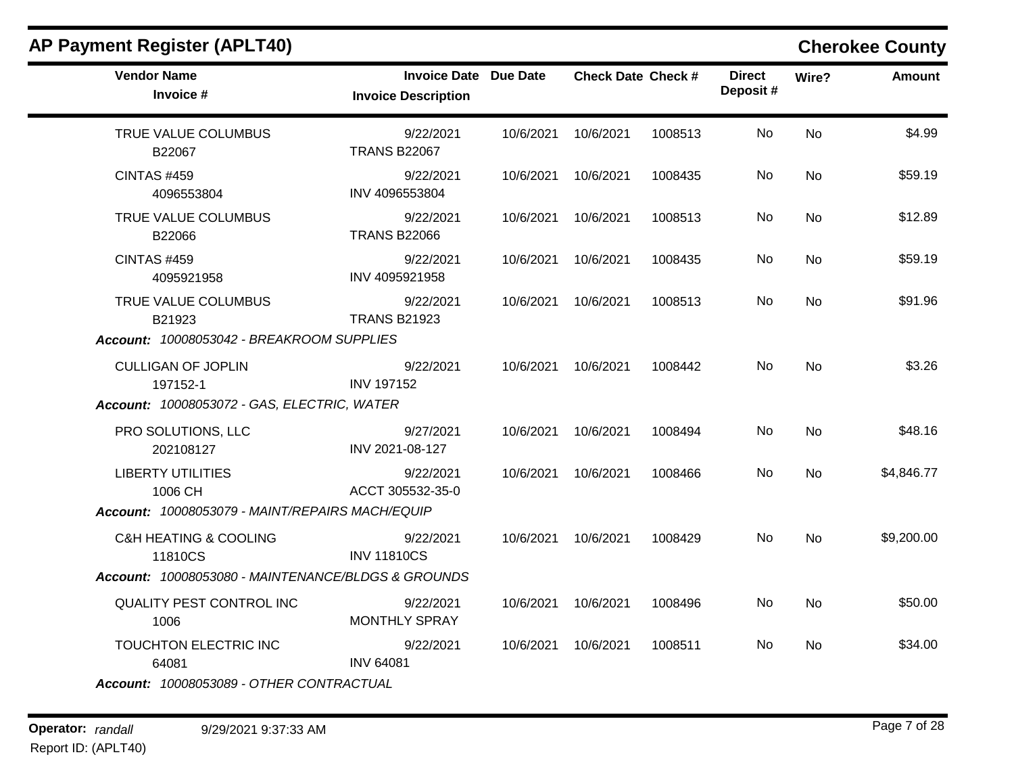|                                   |                                                                                                                                                                                                                                               |                              |                                                                                                                                                                                               | <b>Direct</b>             |           | <b>Amount</b> |
|-----------------------------------|-----------------------------------------------------------------------------------------------------------------------------------------------------------------------------------------------------------------------------------------------|------------------------------|-----------------------------------------------------------------------------------------------------------------------------------------------------------------------------------------------|---------------------------|-----------|---------------|
| <b>Invoice Description</b>        |                                                                                                                                                                                                                                               |                              |                                                                                                                                                                                               | Deposit#                  |           |               |
| 9/22/2021<br><b>TRANS B22067</b>  |                                                                                                                                                                                                                                               | 10/6/2021                    | 1008513                                                                                                                                                                                       | No                        | <b>No</b> | \$4.99        |
| 9/22/2021<br>INV 4096553804       |                                                                                                                                                                                                                                               | 10/6/2021                    | 1008435                                                                                                                                                                                       | No.                       | No        | \$59.19       |
| 9/22/2021<br><b>TRANS B22066</b>  |                                                                                                                                                                                                                                               |                              | 1008513                                                                                                                                                                                       | No.                       | <b>No</b> | \$12.89       |
| 9/22/2021<br>INV 4095921958       |                                                                                                                                                                                                                                               | 10/6/2021                    | 1008435                                                                                                                                                                                       | No                        | <b>No</b> | \$59.19       |
| 9/22/2021<br><b>TRANS B21923</b>  |                                                                                                                                                                                                                                               |                              | 1008513                                                                                                                                                                                       | No                        | <b>No</b> | \$91.96       |
| 9/22/2021<br><b>INV 197152</b>    |                                                                                                                                                                                                                                               |                              | 1008442                                                                                                                                                                                       | No                        | <b>No</b> | \$3.26        |
| 9/27/2021<br>INV 2021-08-127      |                                                                                                                                                                                                                                               | 10/6/2021                    | 1008494                                                                                                                                                                                       | No                        | No        | \$48.16       |
| 9/22/2021<br>ACCT 305532-35-0     |                                                                                                                                                                                                                                               |                              | 1008466                                                                                                                                                                                       | No                        | <b>No</b> | \$4,846.77    |
| 9/22/2021<br><b>INV 11810CS</b>   |                                                                                                                                                                                                                                               |                              | 1008429                                                                                                                                                                                       | No.                       | <b>No</b> | \$9,200.00    |
|                                   |                                                                                                                                                                                                                                               |                              |                                                                                                                                                                                               |                           |           |               |
| 9/22/2021<br><b>MONTHLY SPRAY</b> |                                                                                                                                                                                                                                               | 10/6/2021                    | 1008496                                                                                                                                                                                       | No                        | No        | \$50.00       |
| 9/22/2021<br><b>INV 64081</b>     |                                                                                                                                                                                                                                               | 10/6/2021                    | 1008511                                                                                                                                                                                       | No                        | No        | \$34.00       |
|                                   | Account: 10008053042 - BREAKROOM SUPPLIES<br>Account: 10008053072 - GAS, ELECTRIC, WATER<br>Account: 10008053079 - MAINT/REPAIRS MACH/EQUIP<br>Account: 10008053080 - MAINTENANCE/BLDGS & GROUNDS<br>Account: 10008053089 - OTHER CONTRACTUAL | <b>Invoice Date Due Date</b> | 10/6/2021<br>10/6/2021<br>10/6/2021 10/6/2021<br>10/6/2021<br>10/6/2021 10/6/2021<br>10/6/2021 10/6/2021<br>10/6/2021<br>10/6/2021 10/6/2021<br>10/6/2021 10/6/2021<br>10/6/2021<br>10/6/2021 | <b>Check Date Check #</b> |           | Wire?         |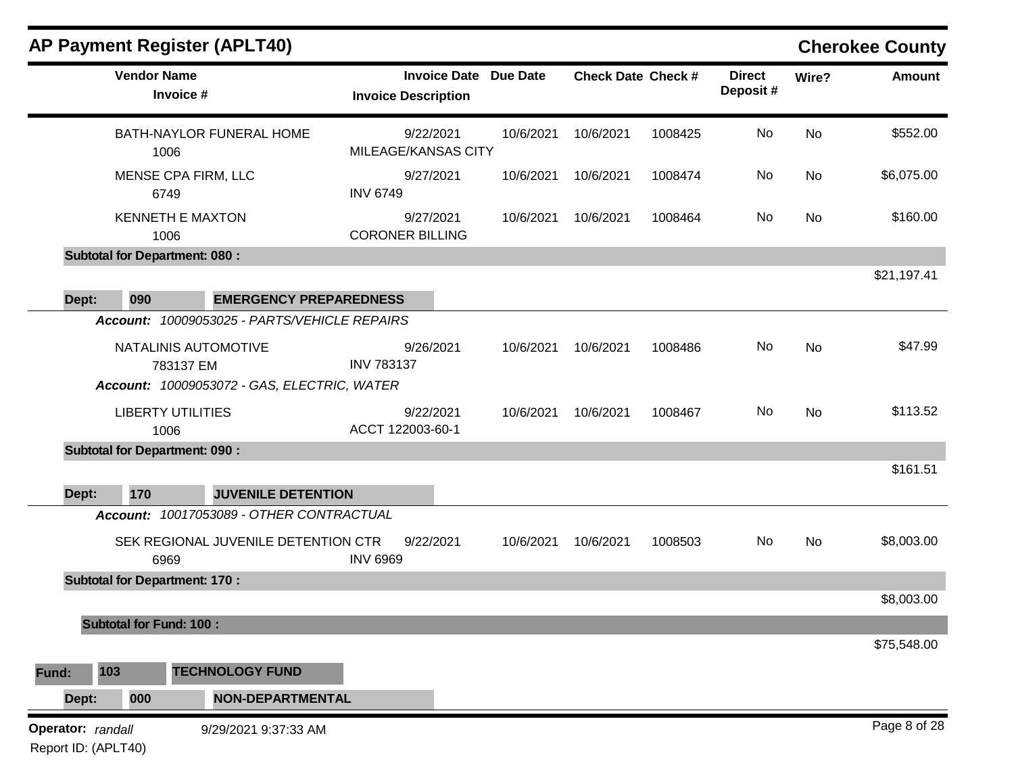|                                          |                                | <b>AP Payment Register (APLT40)</b>          |                                                   |           |                           |         |                           |           | <b>Cherokee County</b> |
|------------------------------------------|--------------------------------|----------------------------------------------|---------------------------------------------------|-----------|---------------------------|---------|---------------------------|-----------|------------------------|
|                                          | <b>Vendor Name</b>             | Invoice #                                    | <b>Invoice Date</b><br><b>Invoice Description</b> | Due Date  | <b>Check Date Check #</b> |         | <b>Direct</b><br>Deposit# | Wire?     | <b>Amount</b>          |
|                                          | 1006                           | <b>BATH-NAYLOR FUNERAL HOME</b>              | 9/22/2021<br>MILEAGE/KANSAS CITY                  | 10/6/2021 | 10/6/2021                 | 1008425 | No                        | No        | \$552.00               |
|                                          | 6749                           | MENSE CPA FIRM, LLC                          | 9/27/2021<br><b>INV 6749</b>                      | 10/6/2021 | 10/6/2021                 | 1008474 | No                        | No        | \$6,075.00             |
|                                          | 1006                           | <b>KENNETH E MAXTON</b>                      | 9/27/2021<br><b>CORONER BILLING</b>               | 10/6/2021 | 10/6/2021                 | 1008464 | No                        | No        | \$160.00               |
|                                          |                                | <b>Subtotal for Department: 080:</b>         |                                                   |           |                           |         |                           |           |                        |
| Dept:                                    | 090                            | <b>EMERGENCY PREPAREDNESS</b>                |                                                   |           |                           |         |                           |           | \$21,197.41            |
|                                          |                                | Account: 10009053025 - PARTS/VEHICLE REPAIRS |                                                   |           |                           |         |                           |           |                        |
|                                          |                                | NATALINIS AUTOMOTIVE<br>783137 EM            | 9/26/2021<br><b>INV 783137</b>                    | 10/6/2021 | 10/6/2021                 | 1008486 | No                        | <b>No</b> | \$47.99                |
|                                          |                                | Account: 10009053072 - GAS, ELECTRIC, WATER  |                                                   |           |                           |         |                           |           |                        |
|                                          | 1006                           | <b>LIBERTY UTILITIES</b>                     | 9/22/2021<br>ACCT 122003-60-1                     | 10/6/2021 | 10/6/2021                 | 1008467 | No                        | No        | \$113.52               |
|                                          |                                | <b>Subtotal for Department: 090:</b>         |                                                   |           |                           |         |                           |           |                        |
| Dept:                                    | 170                            | <b>JUVENILE DETENTION</b>                    |                                                   |           |                           |         |                           |           | \$161.51               |
|                                          |                                | Account: 10017053089 - OTHER CONTRACTUAL     |                                                   |           |                           |         |                           |           |                        |
|                                          | 6969                           | SEK REGIONAL JUVENILE DETENTION CTR          | 9/22/2021<br><b>INV 6969</b>                      | 10/6/2021 | 10/6/2021                 | 1008503 | No                        | No        | \$8,003.00             |
|                                          |                                | <b>Subtotal for Department: 170:</b>         |                                                   |           |                           |         |                           |           |                        |
|                                          | <b>Subtotal for Fund: 100:</b> |                                              |                                                   |           |                           |         |                           |           | \$8,003.00             |
|                                          |                                |                                              |                                                   |           |                           |         |                           |           | \$75,548.00            |
| Fund:                                    | 103                            | <b>TECHNOLOGY FUND</b>                       |                                                   |           |                           |         |                           |           |                        |
| Dept:                                    | 000                            | <b>NON-DEPARTMENTAL</b>                      |                                                   |           |                           |         |                           |           |                        |
| Operator: randall<br>Report ID: (APLT40) |                                | 9/29/2021 9:37:33 AM                         |                                                   |           |                           |         |                           |           | Page 8 of 28           |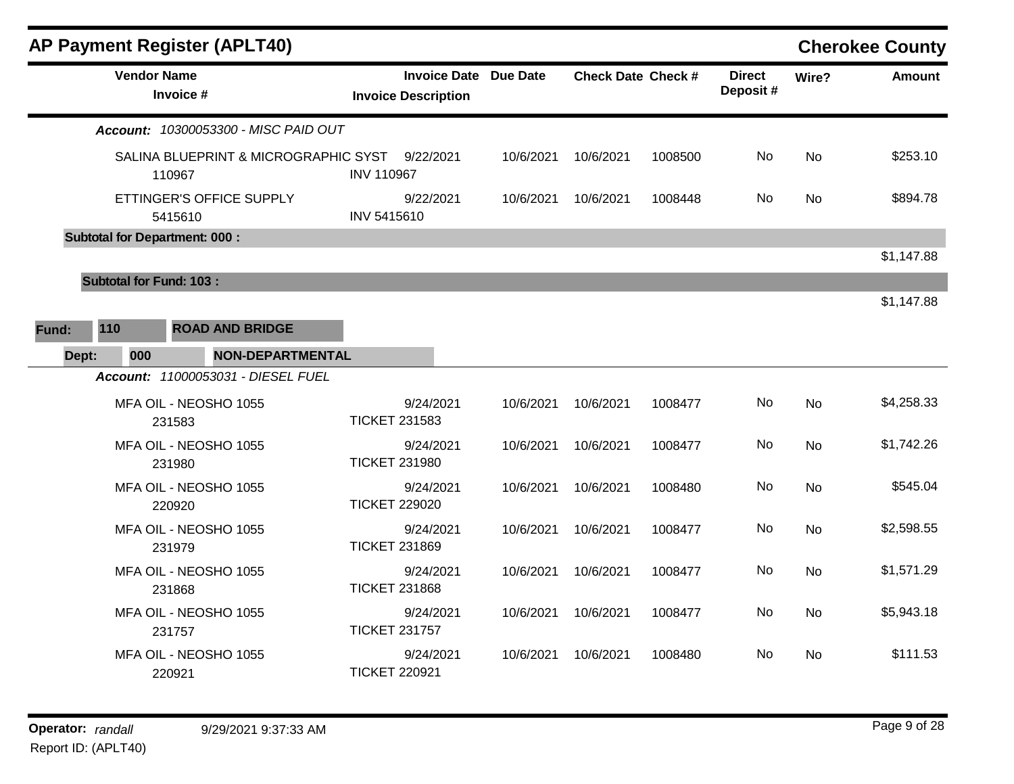|       |                                       | <b>AP Payment Register (APLT40)</b>            |                            |                              |           |                           |         |                           |           | <b>Cherokee County</b> |
|-------|---------------------------------------|------------------------------------------------|----------------------------|------------------------------|-----------|---------------------------|---------|---------------------------|-----------|------------------------|
|       |                                       | <b>Vendor Name</b><br>Invoice #                | <b>Invoice Description</b> | <b>Invoice Date Due Date</b> |           | <b>Check Date Check #</b> |         | <b>Direct</b><br>Deposit# | Wire?     | <b>Amount</b>          |
|       |                                       | Account: 10300053300 - MISC PAID OUT           |                            |                              |           |                           |         |                           |           |                        |
|       |                                       | SALINA BLUEPRINT & MICROGRAPHIC SYST<br>110967 | <b>INV 110967</b>          | 9/22/2021                    | 10/6/2021 | 10/6/2021                 | 1008500 | No.                       | <b>No</b> | \$253.10               |
|       |                                       | ETTINGER'S OFFICE SUPPLY<br>5415610            | INV 5415610                | 9/22/2021                    | 10/6/2021 | 10/6/2021                 | 1008448 | No                        | No        | \$894.78               |
|       |                                       | <b>Subtotal for Department: 000:</b>           |                            |                              |           |                           |         |                           |           |                        |
|       |                                       |                                                |                            |                              |           |                           |         |                           |           | \$1,147.88             |
| Fund: | <b>Subtotal for Fund: 103:</b><br>110 | <b>ROAD AND BRIDGE</b>                         |                            |                              |           |                           |         |                           |           | \$1,147.88             |
|       | 000<br>Dept:                          | <b>NON-DEPARTMENTAL</b>                        |                            |                              |           |                           |         |                           |           |                        |
|       |                                       | <b>Account: 11000053031 - DIESEL FUEL</b>      |                            |                              |           |                           |         |                           |           |                        |
|       |                                       | MFA OIL - NEOSHO 1055<br>231583                | <b>TICKET 231583</b>       | 9/24/2021                    | 10/6/2021 | 10/6/2021                 | 1008477 | No.                       | <b>No</b> | \$4,258.33             |
|       |                                       | MFA OIL - NEOSHO 1055<br>231980                | <b>TICKET 231980</b>       | 9/24/2021                    | 10/6/2021 | 10/6/2021                 | 1008477 | No.                       | <b>No</b> | \$1,742.26             |
|       |                                       | MFA OIL - NEOSHO 1055<br>220920                | <b>TICKET 229020</b>       | 9/24/2021                    | 10/6/2021 | 10/6/2021                 | 1008480 | No.                       | <b>No</b> | \$545.04               |
|       |                                       | MFA OIL - NEOSHO 1055<br>231979                | <b>TICKET 231869</b>       | 9/24/2021                    | 10/6/2021 | 10/6/2021                 | 1008477 | No                        | No        | \$2,598.55             |
|       |                                       | MFA OIL - NEOSHO 1055<br>231868                | <b>TICKET 231868</b>       | 9/24/2021                    | 10/6/2021 | 10/6/2021                 | 1008477 | No.                       | <b>No</b> | \$1,571.29             |
|       |                                       | MFA OIL - NEOSHO 1055<br>231757                | <b>TICKET 231757</b>       | 9/24/2021                    | 10/6/2021 | 10/6/2021                 | 1008477 | No.                       | No        | \$5,943.18             |
|       |                                       | MFA OIL - NEOSHO 1055<br>220921                | <b>TICKET 220921</b>       | 9/24/2021                    | 10/6/2021 | 10/6/2021                 | 1008480 | No.                       | <b>No</b> | \$111.53               |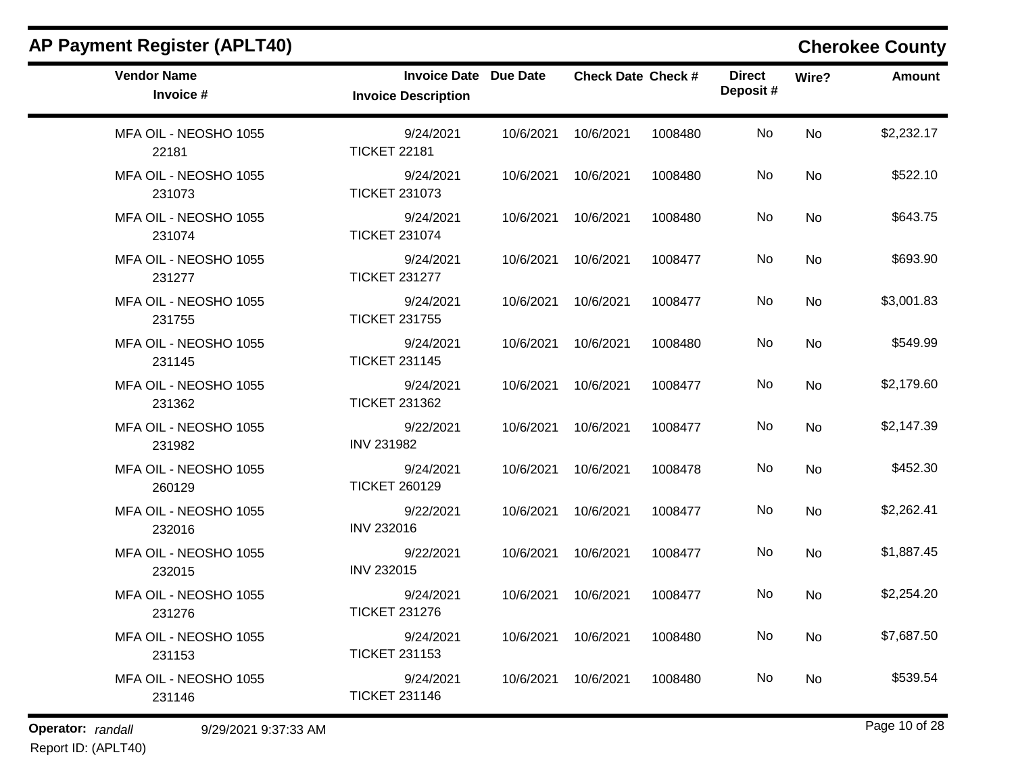| <b>AP Payment Register (APLT40)</b> |                                                            |           |                           |         |                           |       | <b>Cherokee County</b> |
|-------------------------------------|------------------------------------------------------------|-----------|---------------------------|---------|---------------------------|-------|------------------------|
| <b>Vendor Name</b><br>Invoice #     | <b>Invoice Date Due Date</b><br><b>Invoice Description</b> |           | <b>Check Date Check #</b> |         | <b>Direct</b><br>Deposit# | Wire? | <b>Amount</b>          |
| MFA OIL - NEOSHO 1055<br>22181      | 9/24/2021<br><b>TICKET 22181</b>                           | 10/6/2021 | 10/6/2021                 | 1008480 | No                        | No    | \$2,232.17             |
| MFA OIL - NEOSHO 1055<br>231073     | 9/24/2021<br><b>TICKET 231073</b>                          | 10/6/2021 | 10/6/2021                 | 1008480 | No                        | No    | \$522.10               |
| MFA OIL - NEOSHO 1055<br>231074     | 9/24/2021<br><b>TICKET 231074</b>                          | 10/6/2021 | 10/6/2021                 | 1008480 | No                        | No    | \$643.75               |
| MFA OIL - NEOSHO 1055<br>231277     | 9/24/2021<br><b>TICKET 231277</b>                          | 10/6/2021 | 10/6/2021                 | 1008477 | No                        | No    | \$693.90               |
| MFA OIL - NEOSHO 1055<br>231755     | 9/24/2021<br><b>TICKET 231755</b>                          | 10/6/2021 | 10/6/2021                 | 1008477 | No                        | No    | \$3,001.83             |
| MFA OIL - NEOSHO 1055<br>231145     | 9/24/2021<br><b>TICKET 231145</b>                          | 10/6/2021 | 10/6/2021                 | 1008480 | No                        | No    | \$549.99               |
| MFA OIL - NEOSHO 1055<br>231362     | 9/24/2021<br><b>TICKET 231362</b>                          | 10/6/2021 | 10/6/2021                 | 1008477 | No                        | No    | \$2,179.60             |
| MFA OIL - NEOSHO 1055<br>231982     | 9/22/2021<br><b>INV 231982</b>                             | 10/6/2021 | 10/6/2021                 | 1008477 | No                        | No    | \$2,147.39             |
| MFA OIL - NEOSHO 1055<br>260129     | 9/24/2021<br><b>TICKET 260129</b>                          | 10/6/2021 | 10/6/2021                 | 1008478 | No                        | No    | \$452.30               |
| MFA OIL - NEOSHO 1055<br>232016     | 9/22/2021<br><b>INV 232016</b>                             | 10/6/2021 | 10/6/2021                 | 1008477 | No                        | No    | \$2,262.41             |
| MFA OIL - NEOSHO 1055<br>232015     | 9/22/2021<br><b>INV 232015</b>                             | 10/6/2021 | 10/6/2021                 | 1008477 | No                        | No    | \$1,887.45             |
| MFA OIL - NEOSHO 1055<br>231276     | 9/24/2021<br><b>TICKET 231276</b>                          | 10/6/2021 | 10/6/2021                 | 1008477 | No                        | No    | \$2,254.20             |
| MFA OIL - NEOSHO 1055<br>231153     | 9/24/2021<br><b>TICKET 231153</b>                          |           | 10/6/2021 10/6/2021       | 1008480 | No                        | No    | \$7,687.50             |
| MFA OIL - NEOSHO 1055<br>231146     | 9/24/2021<br><b>TICKET 231146</b>                          | 10/6/2021 | 10/6/2021                 | 1008480 | No                        | No    | \$539.54               |

**Operator:** randall 9/29/2021 9:37:33 AM *Page 10 of 28 Page 10 of 28* 

Report ID: (APLT40)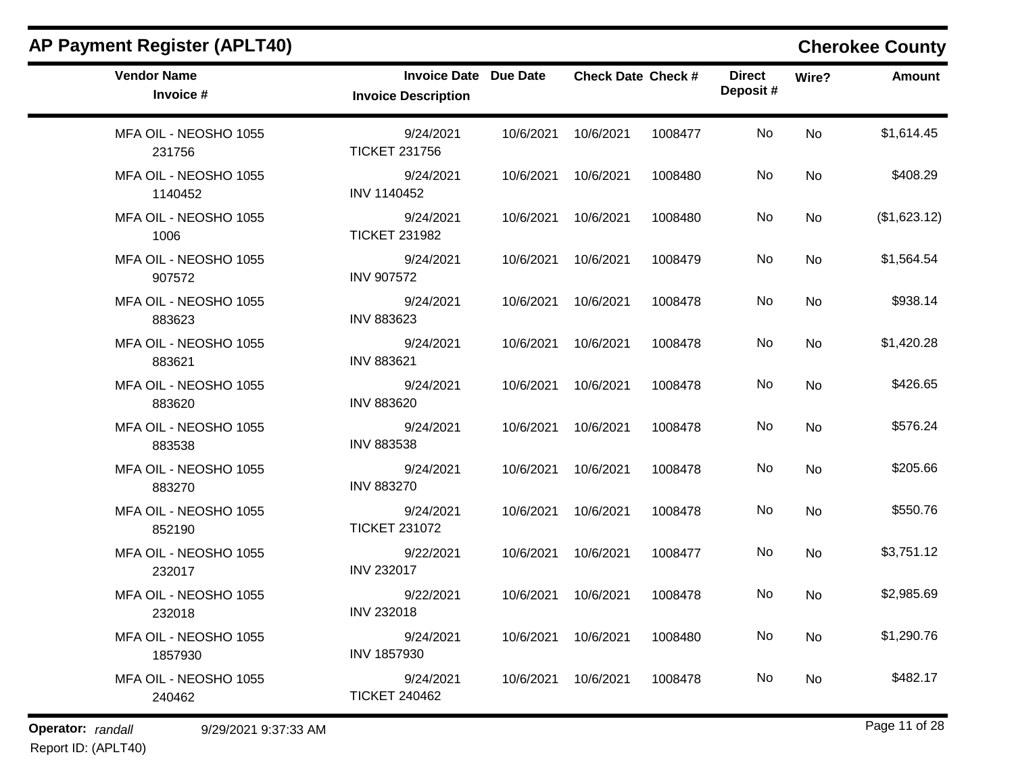| <b>Invoice Description</b>        |           |                              |                                                                                                                          | <b>Direct</b><br>Deposit# | Wire?     | <b>Amount</b> |
|-----------------------------------|-----------|------------------------------|--------------------------------------------------------------------------------------------------------------------------|---------------------------|-----------|---------------|
| 9/24/2021<br><b>TICKET 231756</b> | 10/6/2021 | 10/6/2021                    | 1008477                                                                                                                  | <b>No</b>                 | <b>No</b> | \$1,614.45    |
| 9/24/2021<br>INV 1140452          |           |                              | 1008480                                                                                                                  | No.                       | <b>No</b> | \$408.29      |
| 9/24/2021<br><b>TICKET 231982</b> | 10/6/2021 | 10/6/2021                    | 1008480                                                                                                                  | <b>No</b>                 | <b>No</b> | (\$1,623.12)  |
| 9/24/2021<br><b>INV 907572</b>    |           | 10/6/2021                    | 1008479                                                                                                                  | No.                       | No        | \$1,564.54    |
| 9/24/2021<br><b>INV 883623</b>    | 10/6/2021 | 10/6/2021                    | 1008478                                                                                                                  | No.                       | No        | \$938.14      |
| 9/24/2021<br><b>INV 883621</b>    | 10/6/2021 | 10/6/2021                    | 1008478                                                                                                                  | No                        | <b>No</b> | \$1,420.28    |
| 9/24/2021<br><b>INV 883620</b>    |           |                              | 1008478                                                                                                                  | No                        | <b>No</b> | \$426.65      |
| 9/24/2021<br><b>INV 883538</b>    |           | 10/6/2021                    | 1008478                                                                                                                  | No                        | No        | \$576.24      |
| 9/24/2021<br><b>INV 883270</b>    | 10/6/2021 | 10/6/2021                    | 1008478                                                                                                                  | No                        | <b>No</b> | \$205.66      |
| 9/24/2021<br><b>TICKET 231072</b> |           | 10/6/2021                    | 1008478                                                                                                                  | No.                       | No        | \$550.76      |
| 9/22/2021<br><b>INV 232017</b>    |           | 10/6/2021                    | 1008477                                                                                                                  | <b>No</b>                 | <b>No</b> | \$3,751.12    |
| 9/22/2021<br><b>INV 232018</b>    |           | 10/6/2021                    | 1008478                                                                                                                  | No.                       | No        | \$2,985.69    |
| 9/24/2021<br>INV 1857930          |           | 10/6/2021                    | 1008480                                                                                                                  | No.                       | <b>No</b> | \$1,290.76    |
| 9/24/2021<br><b>TICKET 240462</b> | 10/6/2021 | 10/6/2021                    | 1008478                                                                                                                  | No.                       | <b>No</b> | \$482.17      |
|                                   |           | <b>Invoice Date Due Date</b> | 10/6/2021 10/6/2021<br>10/6/2021<br>10/6/2021 10/6/2021<br>10/6/2021<br>10/6/2021<br>10/6/2021<br>10/6/2021<br>10/6/2021 | <b>Check Date Check #</b> |           |               |

**Operator:** randall 9/29/2021 9:37:33 AM *Page 11 of 28 Page 11 of 28* Report ID: (APLT40)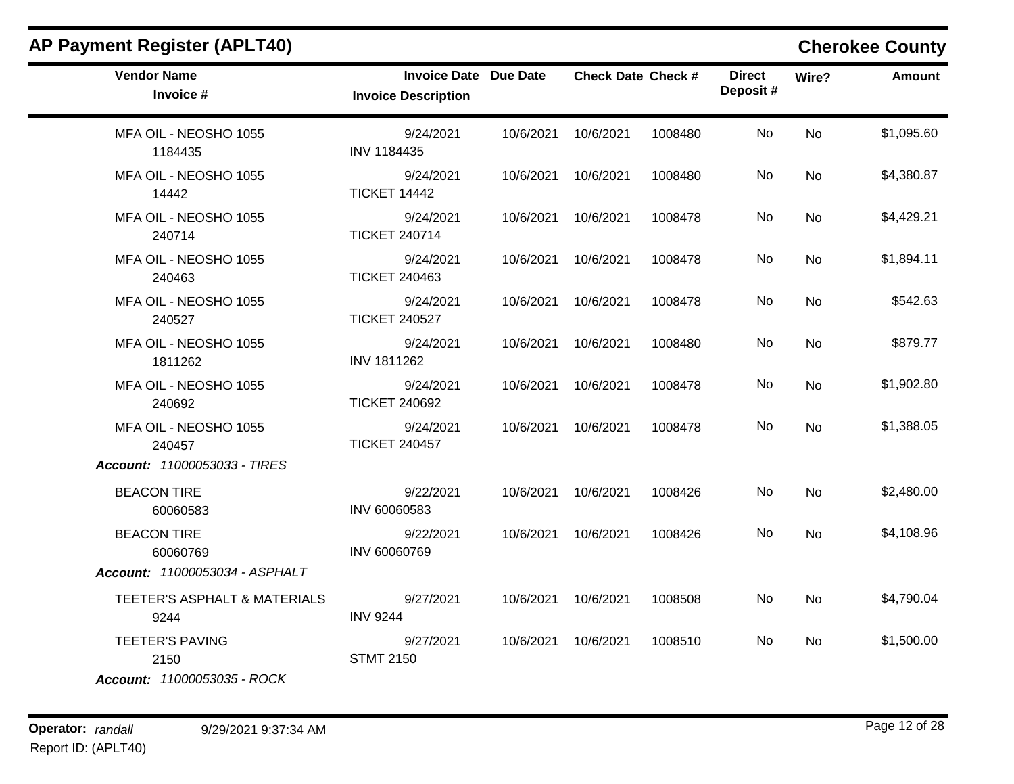| <b>AP Payment Register (APLT40)</b>             |                                                            |           |                           |         |                           |           | <b>Cherokee County</b> |
|-------------------------------------------------|------------------------------------------------------------|-----------|---------------------------|---------|---------------------------|-----------|------------------------|
| <b>Vendor Name</b><br>Invoice #                 | <b>Invoice Date Due Date</b><br><b>Invoice Description</b> |           | <b>Check Date Check #</b> |         | <b>Direct</b><br>Deposit# | Wire?     | <b>Amount</b>          |
| MFA OIL - NEOSHO 1055<br>1184435                | 9/24/2021<br>INV 1184435                                   | 10/6/2021 | 10/6/2021                 | 1008480 | No                        | <b>No</b> | \$1,095.60             |
| MFA OIL - NEOSHO 1055<br>14442                  | 9/24/2021<br><b>TICKET 14442</b>                           | 10/6/2021 | 10/6/2021                 | 1008480 | No                        | No        | \$4,380.87             |
| MFA OIL - NEOSHO 1055<br>240714                 | 9/24/2021<br><b>TICKET 240714</b>                          | 10/6/2021 | 10/6/2021                 | 1008478 | No.                       | No        | \$4,429.21             |
| MFA OIL - NEOSHO 1055<br>240463                 | 9/24/2021<br><b>TICKET 240463</b>                          | 10/6/2021 | 10/6/2021                 | 1008478 | No                        | No        | \$1,894.11             |
| MFA OIL - NEOSHO 1055<br>240527                 | 9/24/2021<br><b>TICKET 240527</b>                          | 10/6/2021 | 10/6/2021                 | 1008478 | No                        | <b>No</b> | \$542.63               |
| MFA OIL - NEOSHO 1055<br>1811262                | 9/24/2021<br>INV 1811262                                   | 10/6/2021 | 10/6/2021                 | 1008480 | No                        | <b>No</b> | \$879.77               |
| MFA OIL - NEOSHO 1055<br>240692                 | 9/24/2021<br><b>TICKET 240692</b>                          | 10/6/2021 | 10/6/2021                 | 1008478 | No                        | <b>No</b> | \$1,902.80             |
| MFA OIL - NEOSHO 1055<br>240457                 | 9/24/2021<br><b>TICKET 240457</b>                          | 10/6/2021 | 10/6/2021                 | 1008478 | No.                       | <b>No</b> | \$1,388.05             |
| Account: 11000053033 - TIRES                    |                                                            |           |                           |         |                           |           |                        |
| <b>BEACON TIRE</b><br>60060583                  | 9/22/2021<br>INV 60060583                                  | 10/6/2021 | 10/6/2021                 | 1008426 | No.                       | No        | \$2,480.00             |
| <b>BEACON TIRE</b><br>60060769                  | 9/22/2021<br>INV 60060769                                  | 10/6/2021 | 10/6/2021                 | 1008426 | No.                       | <b>No</b> | \$4,108.96             |
| Account: 11000053034 - ASPHALT                  |                                                            |           |                           |         |                           |           |                        |
| <b>TEETER'S ASPHALT &amp; MATERIALS</b><br>9244 | 9/27/2021<br><b>INV 9244</b>                               | 10/6/2021 | 10/6/2021                 | 1008508 | No                        | <b>No</b> | \$4,790.04             |
| <b>TEETER'S PAVING</b><br>2150                  | 9/27/2021<br><b>STMT 2150</b>                              | 10/6/2021 | 10/6/2021                 | 1008510 | No                        | No        | \$1,500.00             |
| Account: 11000053035 - ROCK                     |                                                            |           |                           |         |                           |           |                        |

### **Operator:** randall 9/29/2021 9:37:34 AM *Page 12 of 28 Page 12 of 28* Report ID: (APLT40)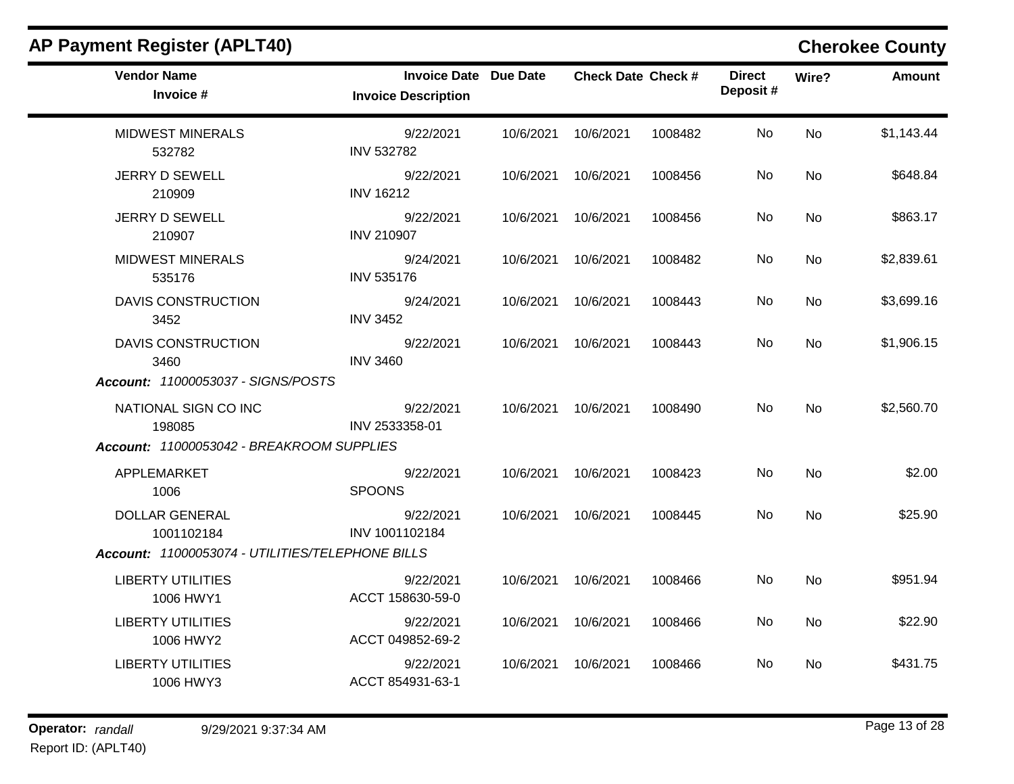| <b>Vendor Name</b><br>Invoice #                  | <b>Invoice Date Due Date</b><br><b>Invoice Description</b> |                     | <b>Check Date Check #</b> |         | <b>Direct</b><br>Deposit# | Wire?     | Amount     |
|--------------------------------------------------|------------------------------------------------------------|---------------------|---------------------------|---------|---------------------------|-----------|------------|
| <b>MIDWEST MINERALS</b><br>532782                | 9/22/2021<br><b>INV 532782</b>                             | 10/6/2021           | 10/6/2021                 | 1008482 | No                        | <b>No</b> | \$1,143.44 |
| <b>JERRY D SEWELL</b><br>210909                  | 9/22/2021<br><b>INV 16212</b>                              | 10/6/2021           | 10/6/2021                 | 1008456 | No                        | No        | \$648.84   |
| <b>JERRY D SEWELL</b><br>210907                  | 9/22/2021<br><b>INV 210907</b>                             | 10/6/2021           | 10/6/2021                 | 1008456 | No                        | <b>No</b> | \$863.17   |
| <b>MIDWEST MINERALS</b><br>535176                | 9/24/2021<br><b>INV 535176</b>                             | 10/6/2021 10/6/2021 |                           | 1008482 | No                        | <b>No</b> | \$2,839.61 |
| <b>DAVIS CONSTRUCTION</b><br>3452                | 9/24/2021<br><b>INV 3452</b>                               | 10/6/2021           | 10/6/2021                 | 1008443 | No                        | No        | \$3,699.16 |
| <b>DAVIS CONSTRUCTION</b><br>3460                | 9/22/2021<br><b>INV 3460</b>                               | 10/6/2021 10/6/2021 |                           | 1008443 | No.                       | <b>No</b> | \$1,906.15 |
| Account: 11000053037 - SIGNS/POSTS               |                                                            |                     |                           |         |                           |           |            |
| NATIONAL SIGN CO INC<br>198085                   | 9/22/2021<br>INV 2533358-01                                |                     | 10/6/2021 10/6/2021       | 1008490 | No.                       | <b>No</b> | \$2,560.70 |
| Account: 11000053042 - BREAKROOM SUPPLIES        |                                                            |                     |                           |         |                           |           |            |
| APPLEMARKET<br>1006                              | 9/22/2021<br><b>SPOONS</b>                                 | 10/6/2021           | 10/6/2021                 | 1008423 | No                        | <b>No</b> | \$2.00     |
| <b>DOLLAR GENERAL</b><br>1001102184              | 9/22/2021<br>INV 1001102184                                |                     | 10/6/2021 10/6/2021       | 1008445 | No.                       | <b>No</b> | \$25.90    |
| Account: 11000053074 - UTILITIES/TELEPHONE BILLS |                                                            |                     |                           |         |                           |           |            |
| <b>LIBERTY UTILITIES</b><br>1006 HWY1            | 9/22/2021<br>ACCT 158630-59-0                              |                     | 10/6/2021 10/6/2021       | 1008466 | No.                       | <b>No</b> | \$951.94   |
| <b>LIBERTY UTILITIES</b><br>1006 HWY2            | 9/22/2021<br>ACCT 049852-69-2                              | 10/6/2021 10/6/2021 |                           | 1008466 | No                        | <b>No</b> | \$22.90    |
| <b>LIBERTY UTILITIES</b><br>1006 HWY3            | 9/22/2021<br>ACCT 854931-63-1                              | 10/6/2021 10/6/2021 |                           | 1008466 | No.                       | <b>No</b> | \$431.75   |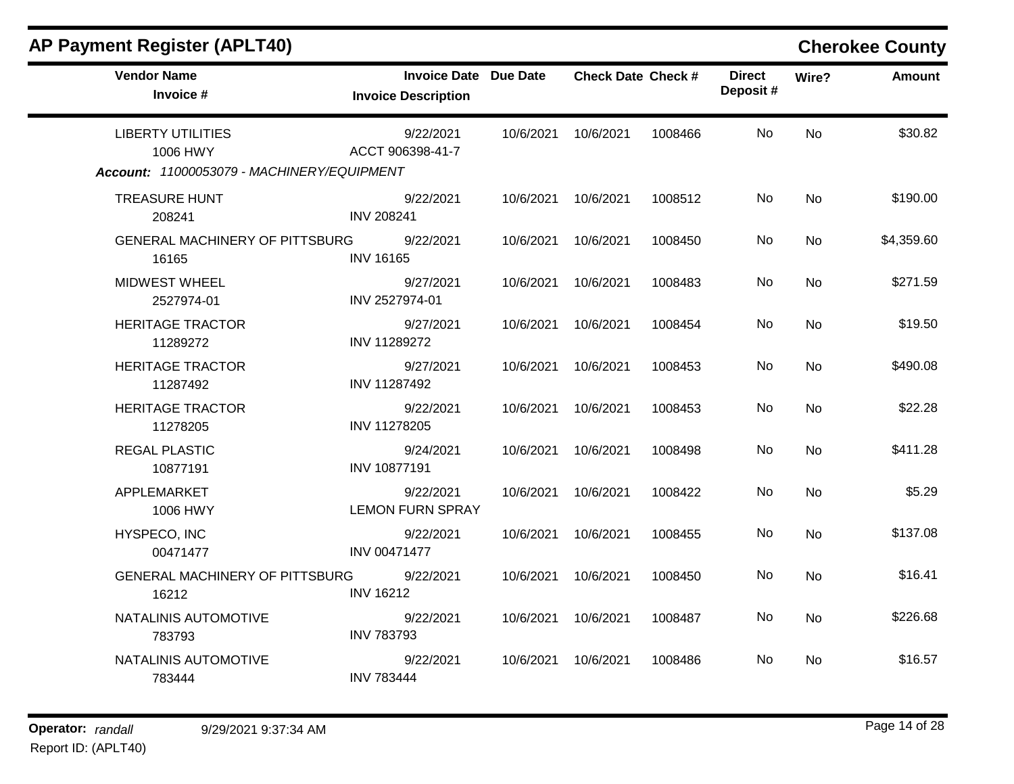| <b>Vendor Name</b><br>Invoice #                | <b>Invoice Date Due Date</b><br><b>Invoice Description</b> |           | <b>Check Date Check #</b> |         | <b>Direct</b><br>Deposit# | Wire?     | <b>Amount</b> |
|------------------------------------------------|------------------------------------------------------------|-----------|---------------------------|---------|---------------------------|-----------|---------------|
| <b>LIBERTY UTILITIES</b><br>1006 HWY           | 9/22/2021<br>ACCT 906398-41-7                              |           | 10/6/2021 10/6/2021       | 1008466 | No                        | <b>No</b> | \$30.82       |
| Account: 11000053079 - MACHINERY/EQUIPMENT     |                                                            |           |                           |         |                           |           |               |
| <b>TREASURE HUNT</b><br>208241                 | 9/22/2021<br><b>INV 208241</b>                             |           | 10/6/2021 10/6/2021       | 1008512 | No                        | <b>No</b> | \$190.00      |
| GENERAL MACHINERY OF PITTSBURG<br>16165        | 9/22/2021<br><b>INV 16165</b>                              | 10/6/2021 | 10/6/2021                 | 1008450 | No                        | No        | \$4,359.60    |
| <b>MIDWEST WHEEL</b><br>2527974-01             | 9/27/2021<br>INV 2527974-01                                | 10/6/2021 | 10/6/2021                 | 1008483 | No                        | <b>No</b> | \$271.59      |
| <b>HERITAGE TRACTOR</b><br>11289272            | 9/27/2021<br>INV 11289272                                  | 10/6/2021 | 10/6/2021                 | 1008454 | No                        | No        | \$19.50       |
| <b>HERITAGE TRACTOR</b><br>11287492            | 9/27/2021<br>INV 11287492                                  | 10/6/2021 | 10/6/2021                 | 1008453 | No                        | <b>No</b> | \$490.08      |
| <b>HERITAGE TRACTOR</b><br>11278205            | 9/22/2021<br>INV 11278205                                  | 10/6/2021 | 10/6/2021                 | 1008453 | No                        | <b>No</b> | \$22.28       |
| <b>REGAL PLASTIC</b><br>10877191               | 9/24/2021<br><b>INV 10877191</b>                           | 10/6/2021 | 10/6/2021                 | 1008498 | <b>No</b>                 | <b>No</b> | \$411.28      |
| APPLEMARKET<br>1006 HWY                        | 9/22/2021<br><b>LEMON FURN SPRAY</b>                       | 10/6/2021 | 10/6/2021                 | 1008422 | <b>No</b>                 | <b>No</b> | \$5.29        |
| HYSPECO, INC<br>00471477                       | 9/22/2021<br><b>INV 00471477</b>                           | 10/6/2021 | 10/6/2021                 | 1008455 | No                        | <b>No</b> | \$137.08      |
| <b>GENERAL MACHINERY OF PITTSBURG</b><br>16212 | 9/22/2021<br><b>INV 16212</b>                              | 10/6/2021 | 10/6/2021                 | 1008450 | No                        | <b>No</b> | \$16.41       |
| NATALINIS AUTOMOTIVE<br>783793                 | 9/22/2021<br><b>INV 783793</b>                             | 10/6/2021 | 10/6/2021                 | 1008487 | <b>No</b>                 | No        | \$226.68      |
| NATALINIS AUTOMOTIVE<br>783444                 | 9/22/2021<br><b>INV 783444</b>                             | 10/6/2021 | 10/6/2021                 | 1008486 | No.                       | <b>No</b> | \$16.57       |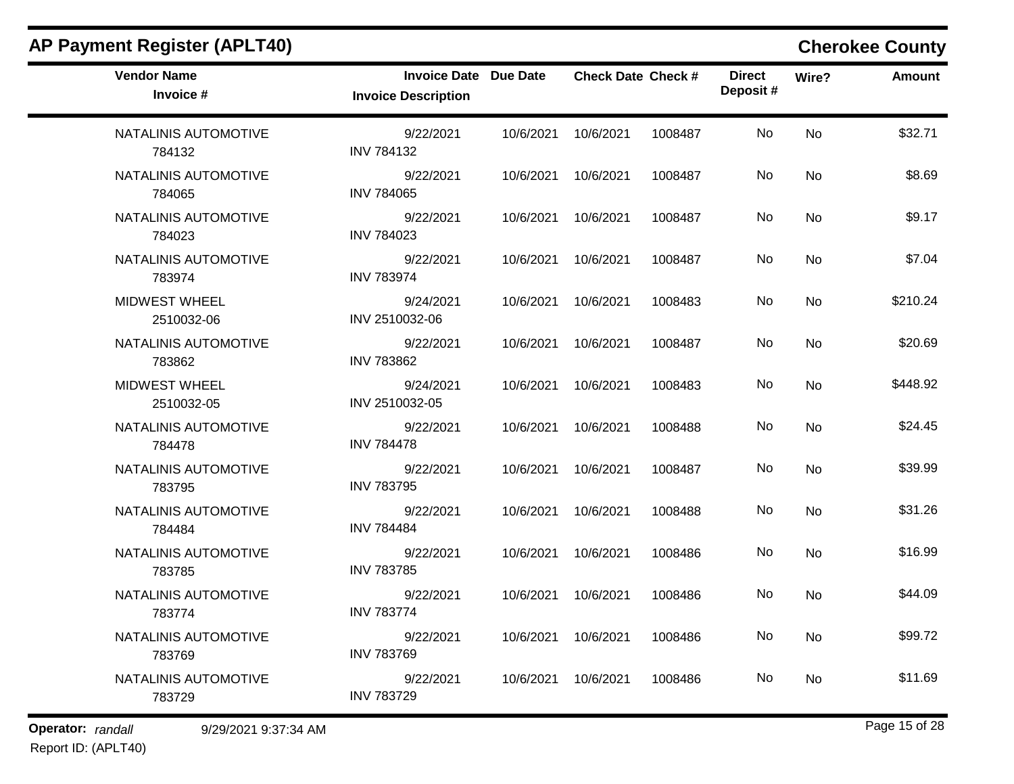| AP Payment Register (APLT40)       |                                                            |           |                           |         |                            |       | <b>Cherokee County</b> |
|------------------------------------|------------------------------------------------------------|-----------|---------------------------|---------|----------------------------|-------|------------------------|
| <b>Vendor Name</b><br>Invoice #    | <b>Invoice Date Due Date</b><br><b>Invoice Description</b> |           | <b>Check Date Check #</b> |         | <b>Direct</b><br>Deposit # | Wire? | <b>Amount</b>          |
| NATALINIS AUTOMOTIVE<br>784132     | 9/22/2021<br><b>INV 784132</b>                             | 10/6/2021 | 10/6/2021                 | 1008487 | No                         | No    | \$32.71                |
| NATALINIS AUTOMOTIVE<br>784065     | 9/22/2021<br><b>INV 784065</b>                             | 10/6/2021 | 10/6/2021                 | 1008487 | No                         | No    | \$8.69                 |
| NATALINIS AUTOMOTIVE<br>784023     | 9/22/2021<br><b>INV 784023</b>                             | 10/6/2021 | 10/6/2021                 | 1008487 | No                         | No    | \$9.17                 |
| NATALINIS AUTOMOTIVE<br>783974     | 9/22/2021<br><b>INV 783974</b>                             | 10/6/2021 | 10/6/2021                 | 1008487 | No                         | No    | \$7.04                 |
| <b>MIDWEST WHEEL</b><br>2510032-06 | 9/24/2021<br>INV 2510032-06                                | 10/6/2021 | 10/6/2021                 | 1008483 | No                         | No    | \$210.24               |
| NATALINIS AUTOMOTIVE<br>783862     | 9/22/2021<br><b>INV 783862</b>                             | 10/6/2021 | 10/6/2021                 | 1008487 | No                         | No    | \$20.69                |
| MIDWEST WHEEL<br>2510032-05        | 9/24/2021<br>INV 2510032-05                                | 10/6/2021 | 10/6/2021                 | 1008483 | No                         | No    | \$448.92               |
| NATALINIS AUTOMOTIVE<br>784478     | 9/22/2021<br><b>INV 784478</b>                             | 10/6/2021 | 10/6/2021                 | 1008488 | No                         | No    | \$24.45                |
| NATALINIS AUTOMOTIVE<br>783795     | 9/22/2021<br><b>INV 783795</b>                             | 10/6/2021 | 10/6/2021                 | 1008487 | No                         | No    | \$39.99                |
| NATALINIS AUTOMOTIVE<br>784484     | 9/22/2021<br><b>INV 784484</b>                             | 10/6/2021 | 10/6/2021                 | 1008488 | No                         | No    | \$31.26                |
| NATALINIS AUTOMOTIVE<br>783785     | 9/22/2021<br><b>INV 783785</b>                             | 10/6/2021 | 10/6/2021                 | 1008486 | No                         | No    | \$16.99                |
| NATALINIS AUTOMOTIVE<br>783774     | 9/22/2021<br><b>INV 783774</b>                             | 10/6/2021 | 10/6/2021                 | 1008486 | No                         | No    | \$44.09                |
| NATALINIS AUTOMOTIVE<br>783769     | 9/22/2021<br><b>INV 783769</b>                             | 10/6/2021 | 10/6/2021                 | 1008486 | No                         | No    | \$99.72                |
| NATALINIS AUTOMOTIVE<br>783729     | 9/22/2021<br><b>INV 783729</b>                             | 10/6/2021 | 10/6/2021                 | 1008486 | No                         | No    | \$11.69                |

Report ID: (APLT40)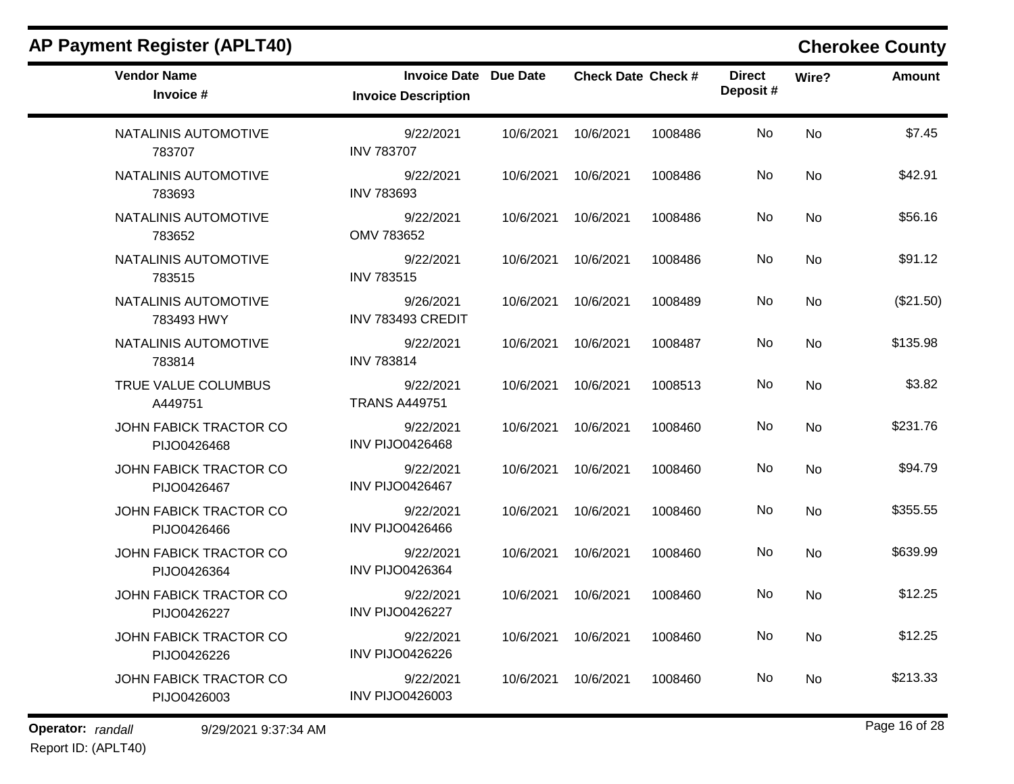| <b>Vendor Name</b><br>Invoice #              | Invoice Date Due Date<br><b>Invoice Description</b> |           | <b>Check Date Check #</b> |         | <b>Direct</b><br>Deposit# | Wire?     | Amount    |
|----------------------------------------------|-----------------------------------------------------|-----------|---------------------------|---------|---------------------------|-----------|-----------|
| NATALINIS AUTOMOTIVE<br>783707               | 9/22/2021<br><b>INV 783707</b>                      | 10/6/2021 | 10/6/2021                 | 1008486 | No                        | <b>No</b> | \$7.45    |
| NATALINIS AUTOMOTIVE<br>783693               | 9/22/2021<br><b>INV 783693</b>                      | 10/6/2021 | 10/6/2021                 | 1008486 | No                        | <b>No</b> | \$42.91   |
| NATALINIS AUTOMOTIVE<br>783652               | 9/22/2021<br>OMV 783652                             | 10/6/2021 | 10/6/2021                 | 1008486 | No                        | <b>No</b> | \$56.16   |
| NATALINIS AUTOMOTIVE<br>783515               | 9/22/2021<br><b>INV 783515</b>                      | 10/6/2021 | 10/6/2021                 | 1008486 | No                        | <b>No</b> | \$91.12   |
| NATALINIS AUTOMOTIVE<br>783493 HWY           | 9/26/2021<br>INV 783493 CREDIT                      | 10/6/2021 | 10/6/2021                 | 1008489 | No.                       | <b>No</b> | (\$21.50) |
| NATALINIS AUTOMOTIVE<br>783814               | 9/22/2021<br><b>INV 783814</b>                      | 10/6/2021 | 10/6/2021                 | 1008487 | No                        | <b>No</b> | \$135.98  |
| TRUE VALUE COLUMBUS<br>A449751               | 9/22/2021<br><b>TRANS A449751</b>                   | 10/6/2021 | 10/6/2021                 | 1008513 | No.                       | <b>No</b> | \$3.82    |
| <b>JOHN FABICK TRACTOR CO</b><br>PIJO0426468 | 9/22/2021<br><b>INV PIJO0426468</b>                 | 10/6/2021 | 10/6/2021                 | 1008460 | No                        | No        | \$231.76  |
| JOHN FABICK TRACTOR CO<br>PIJO0426467        | 9/22/2021<br><b>INV PIJO0426467</b>                 | 10/6/2021 | 10/6/2021                 | 1008460 | No.                       | <b>No</b> | \$94.79   |
| <b>JOHN FABICK TRACTOR CO</b><br>PIJO0426466 | 9/22/2021<br><b>INV PIJO0426466</b>                 | 10/6/2021 | 10/6/2021                 | 1008460 | No.                       | No        | \$355.55  |
| JOHN FABICK TRACTOR CO<br>PIJO0426364        | 9/22/2021<br><b>INV PIJO0426364</b>                 | 10/6/2021 | 10/6/2021                 | 1008460 | No.                       | <b>No</b> | \$639.99  |
| JOHN FABICK TRACTOR CO<br>PIJO0426227        | 9/22/2021<br><b>INV PIJO0426227</b>                 | 10/6/2021 | 10/6/2021                 | 1008460 | No.                       | No        | \$12.25   |
| JOHN FABICK TRACTOR CO<br>PIJO0426226        | 9/22/2021<br><b>INV PIJO0426226</b>                 | 10/6/2021 | 10/6/2021                 | 1008460 | No                        | <b>No</b> | \$12.25   |
| JOHN FABICK TRACTOR CO<br>PIJO0426003        | 9/22/2021<br><b>INV PIJO0426003</b>                 | 10/6/2021 | 10/6/2021                 | 1008460 | No.                       | No        | \$213.33  |

**Operator:** randall 9/29/2021 9:37:34 AM *Page 16 of 28 Page 16 of 28*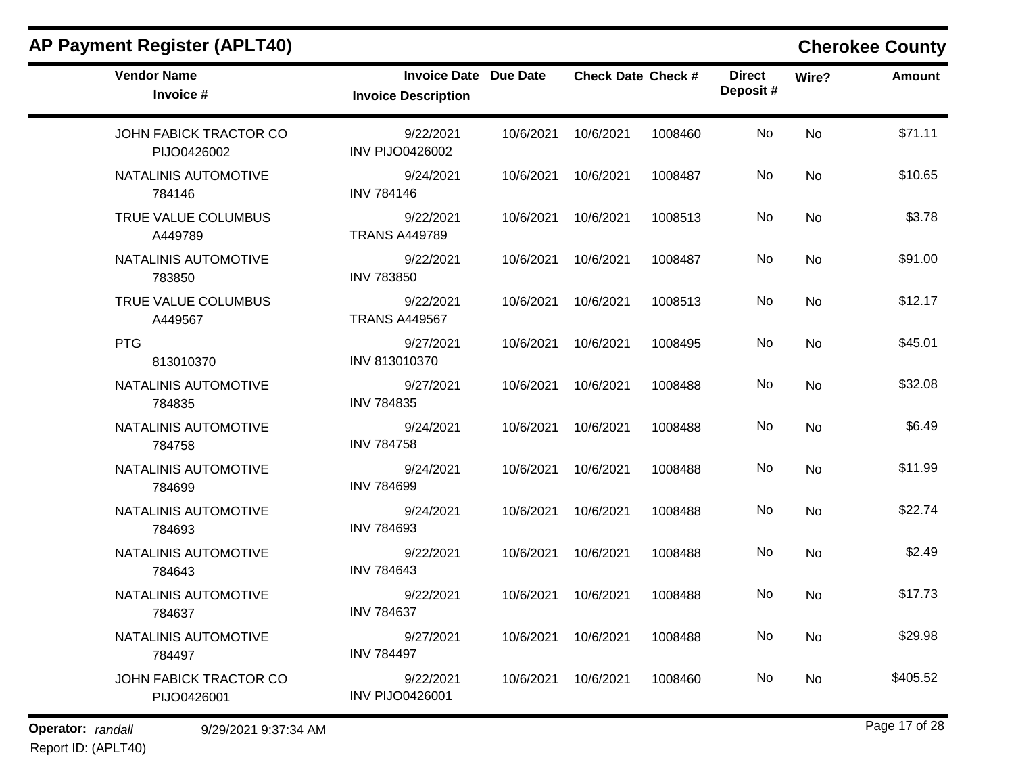| <b>Vendor Name</b><br>Invoice #       | <b>Invoice Date Due Date</b><br><b>Invoice Description</b> |                     | <b>Check Date Check #</b> |         | <b>Direct</b><br>Deposit# | Wire?     | <b>Amount</b> |
|---------------------------------------|------------------------------------------------------------|---------------------|---------------------------|---------|---------------------------|-----------|---------------|
| JOHN FABICK TRACTOR CO<br>PIJO0426002 | 9/22/2021<br><b>INV PIJO0426002</b>                        | 10/6/2021           | 10/6/2021                 | 1008460 | No.                       | <b>No</b> | \$71.11       |
| NATALINIS AUTOMOTIVE<br>784146        | 9/24/2021<br><b>INV 784146</b>                             | 10/6/2021 10/6/2021 |                           | 1008487 | No.                       | No        | \$10.65       |
| TRUE VALUE COLUMBUS<br>A449789        | 9/22/2021<br><b>TRANS A449789</b>                          | 10/6/2021           | 10/6/2021                 | 1008513 | No.                       | No        | \$3.78        |
| NATALINIS AUTOMOTIVE<br>783850        | 9/22/2021<br><b>INV 783850</b>                             | 10/6/2021           | 10/6/2021                 | 1008487 | No                        | <b>No</b> | \$91.00       |
| TRUE VALUE COLUMBUS<br>A449567        | 9/22/2021<br><b>TRANS A449567</b>                          | 10/6/2021 10/6/2021 |                           | 1008513 | No.                       | No        | \$12.17       |
| <b>PTG</b><br>813010370               | 9/27/2021<br>INV 813010370                                 | 10/6/2021 10/6/2021 |                           | 1008495 | No                        | <b>No</b> | \$45.01       |
| NATALINIS AUTOMOTIVE<br>784835        | 9/27/2021<br><b>INV 784835</b>                             | 10/6/2021 10/6/2021 |                           | 1008488 | No                        | <b>No</b> | \$32.08       |
| NATALINIS AUTOMOTIVE<br>784758        | 9/24/2021<br><b>INV 784758</b>                             | 10/6/2021           | 10/6/2021                 | 1008488 | No                        | <b>No</b> | \$6.49        |
| NATALINIS AUTOMOTIVE<br>784699        | 9/24/2021<br><b>INV 784699</b>                             | 10/6/2021           | 10/6/2021                 | 1008488 | No                        | <b>No</b> | \$11.99       |
| NATALINIS AUTOMOTIVE<br>784693        | 9/24/2021<br><b>INV 784693</b>                             | 10/6/2021 10/6/2021 |                           | 1008488 | No                        | <b>No</b> | \$22.74       |
| NATALINIS AUTOMOTIVE<br>784643        | 9/22/2021<br><b>INV 784643</b>                             | 10/6/2021           | 10/6/2021                 | 1008488 | No                        | <b>No</b> | \$2.49        |
| NATALINIS AUTOMOTIVE<br>784637        | 9/22/2021<br><b>INV 784637</b>                             | 10/6/2021 10/6/2021 |                           | 1008488 | No                        | No        | \$17.73       |
| NATALINIS AUTOMOTIVE<br>784497        | 9/27/2021<br><b>INV 784497</b>                             | 10/6/2021           | 10/6/2021                 | 1008488 | No                        | <b>No</b> | \$29.98       |
| JOHN FABICK TRACTOR CO<br>PIJO0426001 | 9/22/2021<br><b>INV PIJO0426001</b>                        | 10/6/2021 10/6/2021 |                           | 1008460 | No                        | No        | \$405.52      |

**Operator:** randall 9/29/2021 9:37:34 AM *Page 17 of 28 Page 17 of 28* Report ID: (APLT40)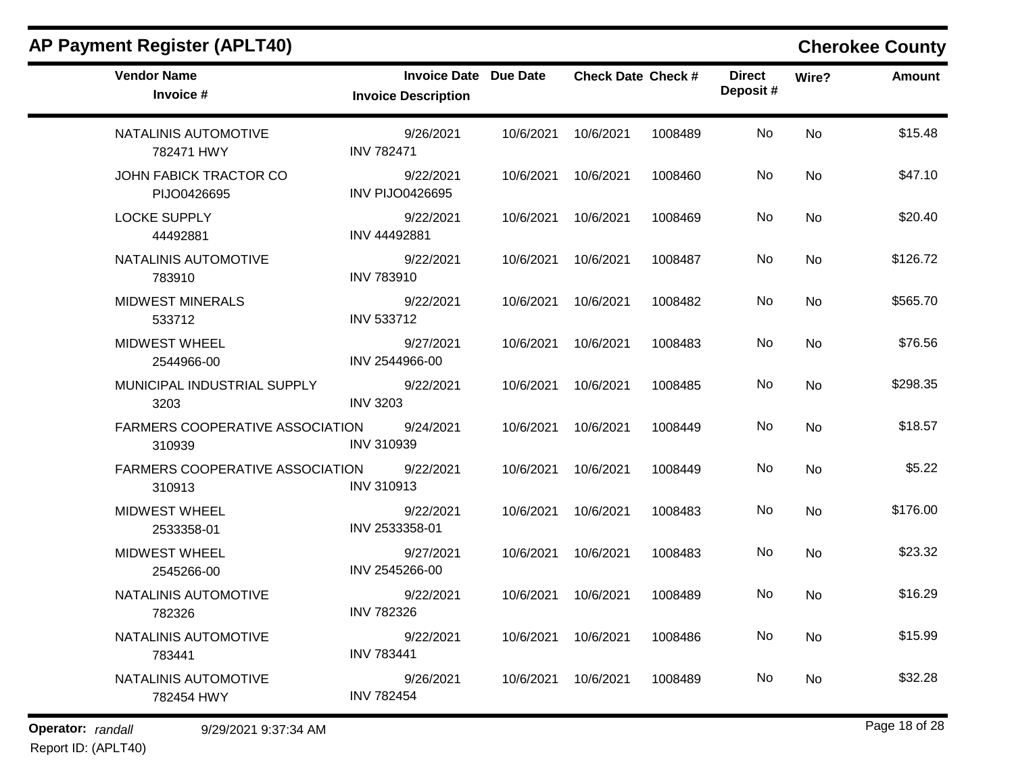| <b>Vendor Name</b><br>Invoice #                  | Invoice Date Due Date<br><b>Invoice Description</b> |           | <b>Check Date Check #</b> |         | <b>Direct</b><br>Deposit# | Wire?     | <b>Amount</b> |
|--------------------------------------------------|-----------------------------------------------------|-----------|---------------------------|---------|---------------------------|-----------|---------------|
| NATALINIS AUTOMOTIVE<br>782471 HWY               | 9/26/2021<br><b>INV 782471</b>                      | 10/6/2021 | 10/6/2021                 | 1008489 | No                        | <b>No</b> | \$15.48       |
| JOHN FABICK TRACTOR CO<br>PIJO0426695            | 9/22/2021<br><b>INV PIJO0426695</b>                 | 10/6/2021 | 10/6/2021                 | 1008460 | No                        | <b>No</b> | \$47.10       |
| <b>LOCKE SUPPLY</b><br>44492881                  | 9/22/2021<br>INV 44492881                           | 10/6/2021 | 10/6/2021                 | 1008469 | No                        | No        | \$20.40       |
| NATALINIS AUTOMOTIVE<br>783910                   | 9/22/2021<br><b>INV 783910</b>                      | 10/6/2021 | 10/6/2021                 | 1008487 | No.                       | No        | \$126.72      |
| <b>MIDWEST MINERALS</b><br>533712                | 9/22/2021<br>INV 533712                             | 10/6/2021 | 10/6/2021                 | 1008482 | No                        | <b>No</b> | \$565.70      |
| <b>MIDWEST WHEEL</b><br>2544966-00               | 9/27/2021<br>INV 2544966-00                         | 10/6/2021 | 10/6/2021                 | 1008483 | No                        | <b>No</b> | \$76.56       |
| MUNICIPAL INDUSTRIAL SUPPLY<br>3203              | 9/22/2021<br><b>INV 3203</b>                        | 10/6/2021 | 10/6/2021                 | 1008485 | No                        | <b>No</b> | \$298.35      |
| FARMERS COOPERATIVE ASSOCIATION<br>310939        | 9/24/2021<br><b>INV 310939</b>                      | 10/6/2021 | 10/6/2021                 | 1008449 | No                        | <b>No</b> | \$18.57       |
| <b>FARMERS COOPERATIVE ASSOCIATION</b><br>310913 | 9/22/2021<br><b>INV 310913</b>                      | 10/6/2021 | 10/6/2021                 | 1008449 | No                        | <b>No</b> | \$5.22        |
| <b>MIDWEST WHEEL</b><br>2533358-01               | 9/22/2021<br>INV 2533358-01                         | 10/6/2021 | 10/6/2021                 | 1008483 | No                        | <b>No</b> | \$176.00      |
| <b>MIDWEST WHEEL</b><br>2545266-00               | 9/27/2021<br>INV 2545266-00                         | 10/6/2021 | 10/6/2021                 | 1008483 | No                        | <b>No</b> | \$23.32       |
| NATALINIS AUTOMOTIVE<br>782326                   | 9/22/2021<br><b>INV 782326</b>                      | 10/6/2021 | 10/6/2021                 | 1008489 | No                        | <b>No</b> | \$16.29       |
| NATALINIS AUTOMOTIVE<br>783441                   | 9/22/2021<br><b>INV 783441</b>                      | 10/6/2021 | 10/6/2021                 | 1008486 | No                        | <b>No</b> | \$15.99       |
| NATALINIS AUTOMOTIVE<br>782454 HWY               | 9/26/2021<br><b>INV 782454</b>                      | 10/6/2021 | 10/6/2021                 | 1008489 | No                        | No.       | \$32.28       |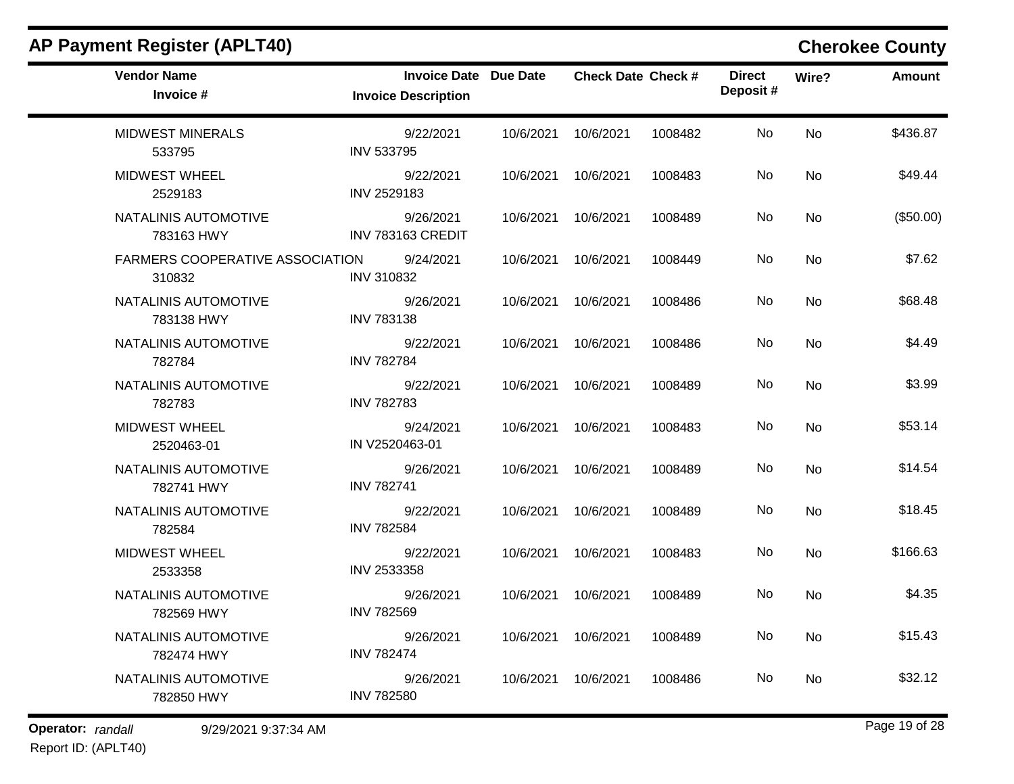| <b>Vendor Name</b><br>Invoice #                  | <b>Invoice Date Due Date</b><br><b>Invoice Description</b> |           | <b>Check Date Check #</b> |         | <b>Direct</b><br>Deposit# | Wire?     | <b>Amount</b> |
|--------------------------------------------------|------------------------------------------------------------|-----------|---------------------------|---------|---------------------------|-----------|---------------|
| <b>MIDWEST MINERALS</b><br>533795                | 9/22/2021<br><b>INV 533795</b>                             | 10/6/2021 | 10/6/2021                 | 1008482 | No                        | <b>No</b> | \$436.87      |
| <b>MIDWEST WHEEL</b><br>2529183                  | 9/22/2021<br>INV 2529183                                   | 10/6/2021 | 10/6/2021                 | 1008483 | No.                       | <b>No</b> | \$49.44       |
| NATALINIS AUTOMOTIVE<br>783163 HWY               | 9/26/2021<br>INV 783163 CREDIT                             | 10/6/2021 | 10/6/2021                 | 1008489 | No.                       | <b>No</b> | (\$50.00)     |
| <b>FARMERS COOPERATIVE ASSOCIATION</b><br>310832 | 9/24/2021<br><b>INV 310832</b>                             | 10/6/2021 | 10/6/2021                 | 1008449 | No                        | <b>No</b> | \$7.62        |
| NATALINIS AUTOMOTIVE<br>783138 HWY               | 9/26/2021<br><b>INV 783138</b>                             | 10/6/2021 | 10/6/2021                 | 1008486 | No.                       | No        | \$68.48       |
| NATALINIS AUTOMOTIVE<br>782784                   | 9/22/2021<br><b>INV 782784</b>                             | 10/6/2021 | 10/6/2021                 | 1008486 | No.                       | No        | \$4.49        |
| NATALINIS AUTOMOTIVE<br>782783                   | 9/22/2021<br><b>INV 782783</b>                             | 10/6/2021 | 10/6/2021                 | 1008489 | No.                       | No        | \$3.99        |
| <b>MIDWEST WHEEL</b><br>2520463-01               | 9/24/2021<br>IN V2520463-01                                | 10/6/2021 | 10/6/2021                 | 1008483 | No.                       | <b>No</b> | \$53.14       |
| NATALINIS AUTOMOTIVE<br>782741 HWY               | 9/26/2021<br><b>INV 782741</b>                             | 10/6/2021 | 10/6/2021                 | 1008489 | No                        | No        | \$14.54       |
| NATALINIS AUTOMOTIVE<br>782584                   | 9/22/2021<br><b>INV 782584</b>                             | 10/6/2021 | 10/6/2021                 | 1008489 | No                        | No        | \$18.45       |
| <b>MIDWEST WHEEL</b><br>2533358                  | 9/22/2021<br>INV 2533358                                   | 10/6/2021 | 10/6/2021                 | 1008483 | No                        | No        | \$166.63      |
| NATALINIS AUTOMOTIVE<br>782569 HWY               | 9/26/2021<br><b>INV 782569</b>                             | 10/6/2021 | 10/6/2021                 | 1008489 | No.                       | <b>No</b> | \$4.35        |
| NATALINIS AUTOMOTIVE<br>782474 HWY               | 9/26/2021<br><b>INV 782474</b>                             | 10/6/2021 | 10/6/2021                 | 1008489 | No                        | <b>No</b> | \$15.43       |
| NATALINIS AUTOMOTIVE<br>782850 HWY               | 9/26/2021<br><b>INV 782580</b>                             | 10/6/2021 | 10/6/2021                 | 1008486 | No                        | <b>No</b> | \$32.12       |
|                                                  |                                                            |           |                           |         |                           |           |               |

**Operator:** randall 9/29/2021 9:37:34 AM *Page 19 of 28 Page 19 of 28* Report ID: (APLT40)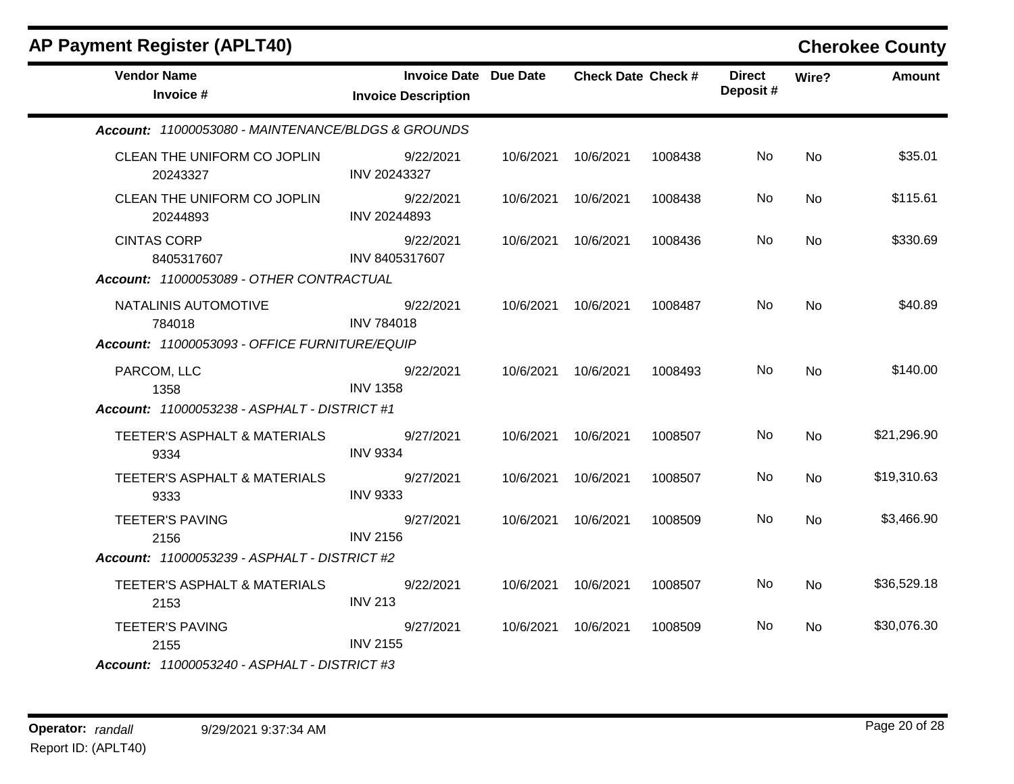| <b>AP Payment Register (APLT40)</b>                |                                                            |           |                           |         |                           |           | <b>Cherokee County</b> |
|----------------------------------------------------|------------------------------------------------------------|-----------|---------------------------|---------|---------------------------|-----------|------------------------|
| <b>Vendor Name</b><br>Invoice #                    | <b>Invoice Date</b> Due Date<br><b>Invoice Description</b> |           | <b>Check Date Check #</b> |         | <b>Direct</b><br>Deposit# | Wire?     | <b>Amount</b>          |
| Account: 11000053080 - MAINTENANCE/BLDGS & GROUNDS |                                                            |           |                           |         |                           |           |                        |
| CLEAN THE UNIFORM CO JOPLIN<br>20243327            | 9/22/2021<br>INV 20243327                                  | 10/6/2021 | 10/6/2021                 | 1008438 | No.                       | No        | \$35.01                |
| CLEAN THE UNIFORM CO JOPLIN<br>20244893            | 9/22/2021<br>INV 20244893                                  |           | 10/6/2021 10/6/2021       | 1008438 | No.                       | <b>No</b> | \$115.61               |
| <b>CINTAS CORP</b><br>8405317607                   | 9/22/2021<br>INV 8405317607                                | 10/6/2021 | 10/6/2021                 | 1008436 | No                        | No        | \$330.69               |
| Account: 11000053089 - OTHER CONTRACTUAL           |                                                            |           |                           |         |                           |           |                        |
| NATALINIS AUTOMOTIVE<br>784018                     | 9/22/2021<br><b>INV 784018</b>                             |           | 10/6/2021 10/6/2021       | 1008487 | No.                       | No        | \$40.89                |
| Account: 11000053093 - OFFICE FURNITURE/EQUIP      |                                                            |           |                           |         |                           |           |                        |
| PARCOM, LLC<br>1358                                | 9/22/2021<br><b>INV 1358</b>                               |           | 10/6/2021 10/6/2021       | 1008493 | No.                       | <b>No</b> | \$140.00               |
| Account: 11000053238 - ASPHALT - DISTRICT #1       |                                                            |           |                           |         |                           |           |                        |
| TEETER'S ASPHALT & MATERIALS<br>9334               | 9/27/2021<br><b>INV 9334</b>                               | 10/6/2021 | 10/6/2021                 | 1008507 | No.                       | <b>No</b> | \$21,296.90            |
| TEETER'S ASPHALT & MATERIALS<br>9333               | 9/27/2021<br><b>INV 9333</b>                               | 10/6/2021 | 10/6/2021                 | 1008507 | No                        | No        | \$19,310.63            |
| <b>TEETER'S PAVING</b><br>2156                     | 9/27/2021<br><b>INV 2156</b>                               |           | 10/6/2021 10/6/2021       | 1008509 | No.                       | <b>No</b> | \$3,466.90             |
| Account: 11000053239 - ASPHALT - DISTRICT #2       |                                                            |           |                           |         |                           |           |                        |
| TEETER'S ASPHALT & MATERIALS                       | 9/22/2021                                                  | 10/6/2021 | 10/6/2021                 | 1008507 | No                        | No        | \$36,529.18            |
| 2153                                               | <b>INV 213</b>                                             |           |                           |         |                           |           |                        |
| <b>TEETER'S PAVING</b><br>2155                     | 9/27/2021<br><b>INV 2155</b>                               |           | 10/6/2021 10/6/2021       | 1008509 | No.                       | <b>No</b> | \$30,076.30            |
| Account: 11000053240 - ASPHALT - DISTRICT #3       |                                                            |           |                           |         |                           |           |                        |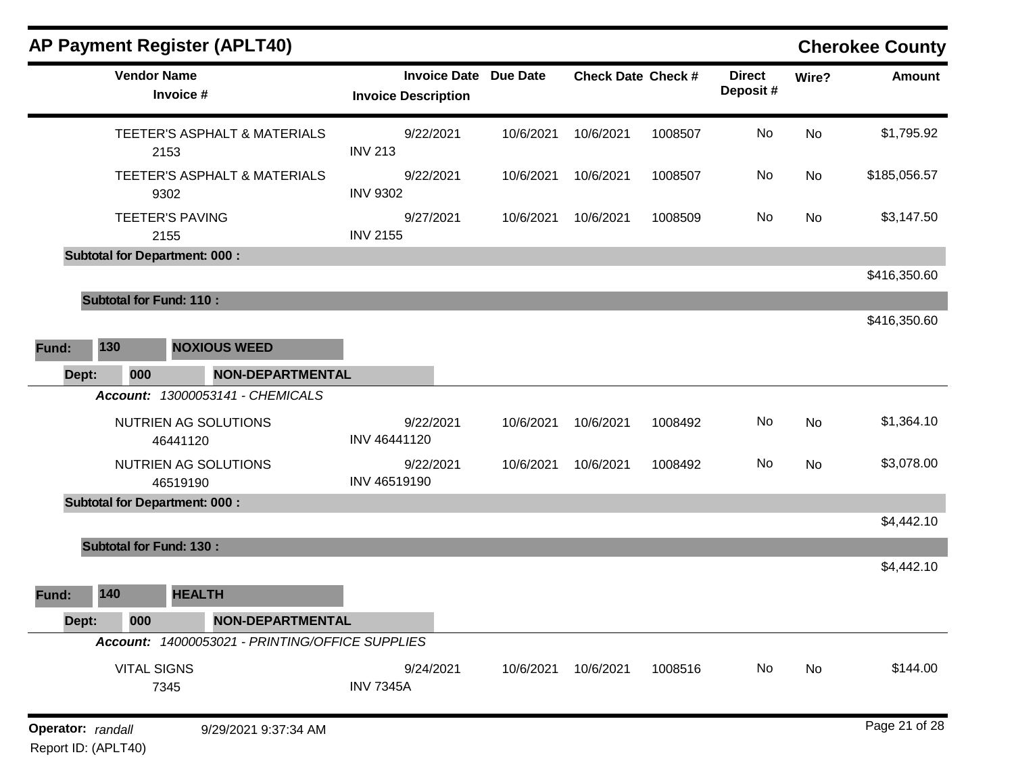|                                          |                                      | <b>AP Payment Register (APLT40)</b>             |                                                   |                 |                           |         |                            |       | <b>Cherokee County</b> |
|------------------------------------------|--------------------------------------|-------------------------------------------------|---------------------------------------------------|-----------------|---------------------------|---------|----------------------------|-------|------------------------|
|                                          | <b>Vendor Name</b><br>Invoice #      |                                                 | <b>Invoice Date</b><br><b>Invoice Description</b> | <b>Due Date</b> | <b>Check Date Check #</b> |         | <b>Direct</b><br>Deposit # | Wire? | <b>Amount</b>          |
|                                          | 2153                                 | TEETER'S ASPHALT & MATERIALS                    | 9/22/2021<br><b>INV 213</b>                       | 10/6/2021       | 10/6/2021                 | 1008507 | No                         | No    | \$1,795.92             |
|                                          | 9302                                 | TEETER'S ASPHALT & MATERIALS                    | 9/22/2021<br><b>INV 9302</b>                      | 10/6/2021       | 10/6/2021                 | 1008507 | No                         | No    | \$185,056.57           |
|                                          | <b>TEETER'S PAVING</b><br>2155       |                                                 | 9/27/2021<br><b>INV 2155</b>                      | 10/6/2021       | 10/6/2021                 | 1008509 | No                         | No    | \$3,147.50             |
|                                          | <b>Subtotal for Department: 000:</b> |                                                 |                                                   |                 |                           |         |                            |       |                        |
|                                          |                                      |                                                 |                                                   |                 |                           |         |                            |       | \$416,350.60           |
|                                          | <b>Subtotal for Fund: 110:</b>       |                                                 |                                                   |                 |                           |         |                            |       |                        |
|                                          |                                      |                                                 |                                                   |                 |                           |         |                            |       | \$416,350.60           |
| 130<br>Fund:                             |                                      | <b>NOXIOUS WEED</b>                             |                                                   |                 |                           |         |                            |       |                        |
| Dept:                                    | 000                                  | <b>NON-DEPARTMENTAL</b>                         |                                                   |                 |                           |         |                            |       |                        |
|                                          |                                      | Account: 13000053141 - CHEMICALS                |                                                   |                 |                           |         |                            |       |                        |
|                                          |                                      | NUTRIEN AG SOLUTIONS                            | 9/22/2021                                         | 10/6/2021       | 10/6/2021                 | 1008492 | No                         | No    | \$1,364.10             |
|                                          | 46441120                             |                                                 | INV 46441120                                      |                 |                           |         |                            |       |                        |
|                                          | 46519190                             | NUTRIEN AG SOLUTIONS                            | 9/22/2021<br>INV 46519190                         | 10/6/2021       | 10/6/2021                 | 1008492 | No                         | No    | \$3,078.00             |
|                                          | <b>Subtotal for Department: 000:</b> |                                                 |                                                   |                 |                           |         |                            |       |                        |
|                                          |                                      |                                                 |                                                   |                 |                           |         |                            |       | \$4,442.10             |
|                                          | <b>Subtotal for Fund: 130:</b>       |                                                 |                                                   |                 |                           |         |                            |       |                        |
|                                          |                                      |                                                 |                                                   |                 |                           |         |                            |       | \$4,442.10             |
| 140<br>Fund:                             |                                      | <b>HEALTH</b>                                   |                                                   |                 |                           |         |                            |       |                        |
| Dept:                                    | 000                                  | NON-DEPARTMENTAL                                |                                                   |                 |                           |         |                            |       |                        |
|                                          |                                      | Account: 14000053021 - PRINTING/OFFICE SUPPLIES |                                                   |                 |                           |         |                            |       |                        |
|                                          | <b>VITAL SIGNS</b><br>7345           |                                                 | 9/24/2021<br><b>INV 7345A</b>                     | 10/6/2021       | 10/6/2021                 | 1008516 | No                         | No    | \$144.00               |
| Operator: randall<br>Report ID: (APLT40) |                                      | 9/29/2021 9:37:34 AM                            |                                                   |                 |                           |         |                            |       | Page 21 of 28          |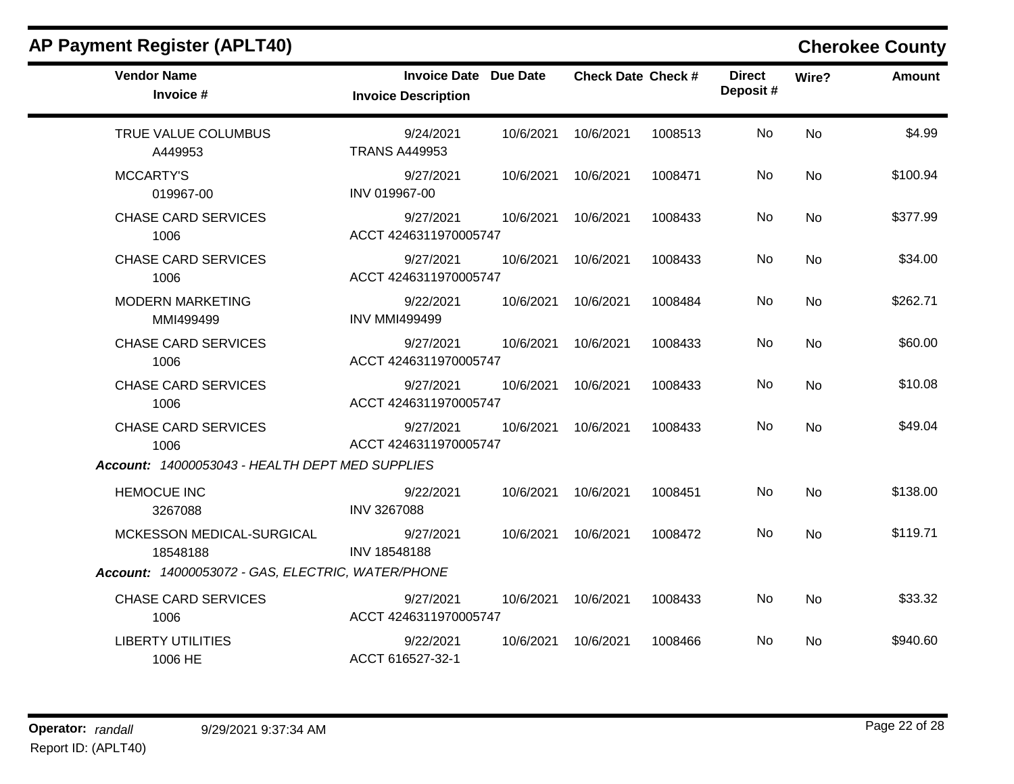| <b>AP Payment Register (APLT40)</b>               |                                                            |           |                           |         |                           |           | <b>Cherokee County</b> |
|---------------------------------------------------|------------------------------------------------------------|-----------|---------------------------|---------|---------------------------|-----------|------------------------|
| <b>Vendor Name</b><br>Invoice #                   | <b>Invoice Date Due Date</b><br><b>Invoice Description</b> |           | <b>Check Date Check #</b> |         | <b>Direct</b><br>Deposit# | Wire?     | <b>Amount</b>          |
| TRUE VALUE COLUMBUS<br>A449953                    | 9/24/2021<br><b>TRANS A449953</b>                          | 10/6/2021 | 10/6/2021                 | 1008513 | <b>No</b>                 | <b>No</b> | \$4.99                 |
| <b>MCCARTY'S</b><br>019967-00                     | 9/27/2021<br>INV 019967-00                                 | 10/6/2021 | 10/6/2021                 | 1008471 | No                        | <b>No</b> | \$100.94               |
| <b>CHASE CARD SERVICES</b><br>1006                | 9/27/2021<br>ACCT 4246311970005747                         | 10/6/2021 | 10/6/2021                 | 1008433 | No                        | <b>No</b> | \$377.99               |
| <b>CHASE CARD SERVICES</b><br>1006                | 9/27/2021<br>ACCT 4246311970005747                         | 10/6/2021 | 10/6/2021                 | 1008433 | No                        | No        | \$34.00                |
| <b>MODERN MARKETING</b><br>MMI499499              | 9/22/2021<br><b>INV MMI499499</b>                          | 10/6/2021 | 10/6/2021                 | 1008484 | No                        | <b>No</b> | \$262.71               |
| <b>CHASE CARD SERVICES</b><br>1006                | 9/27/2021<br>ACCT 4246311970005747                         | 10/6/2021 | 10/6/2021                 | 1008433 | No                        | <b>No</b> | \$60.00                |
| <b>CHASE CARD SERVICES</b><br>1006                | 9/27/2021<br>ACCT 4246311970005747                         | 10/6/2021 | 10/6/2021                 | 1008433 | No.                       | <b>No</b> | \$10.08                |
| <b>CHASE CARD SERVICES</b><br>1006                | 9/27/2021<br>ACCT 4246311970005747                         | 10/6/2021 | 10/6/2021                 | 1008433 | No                        | <b>No</b> | \$49.04                |
| Account: 14000053043 - HEALTH DEPT MED SUPPLIES   |                                                            |           |                           |         |                           |           |                        |
| <b>HEMOCUE INC</b><br>3267088                     | 9/22/2021<br>INV 3267088                                   | 10/6/2021 | 10/6/2021                 | 1008451 | No                        | <b>No</b> | \$138.00               |
| MCKESSON MEDICAL-SURGICAL<br>18548188             | 9/27/2021<br>INV 18548188                                  | 10/6/2021 | 10/6/2021                 | 1008472 | No.                       | <b>No</b> | \$119.71               |
| Account: 14000053072 - GAS, ELECTRIC, WATER/PHONE |                                                            |           |                           |         |                           |           |                        |
| <b>CHASE CARD SERVICES</b><br>1006                | 9/27/2021<br>ACCT 4246311970005747                         | 10/6/2021 | 10/6/2021                 | 1008433 | <b>No</b>                 | <b>No</b> | \$33.32                |
| <b>LIBERTY UTILITIES</b><br>1006 HE               | 9/22/2021<br>ACCT 616527-32-1                              |           | 10/6/2021 10/6/2021       | 1008466 | No.                       | <b>No</b> | \$940.60               |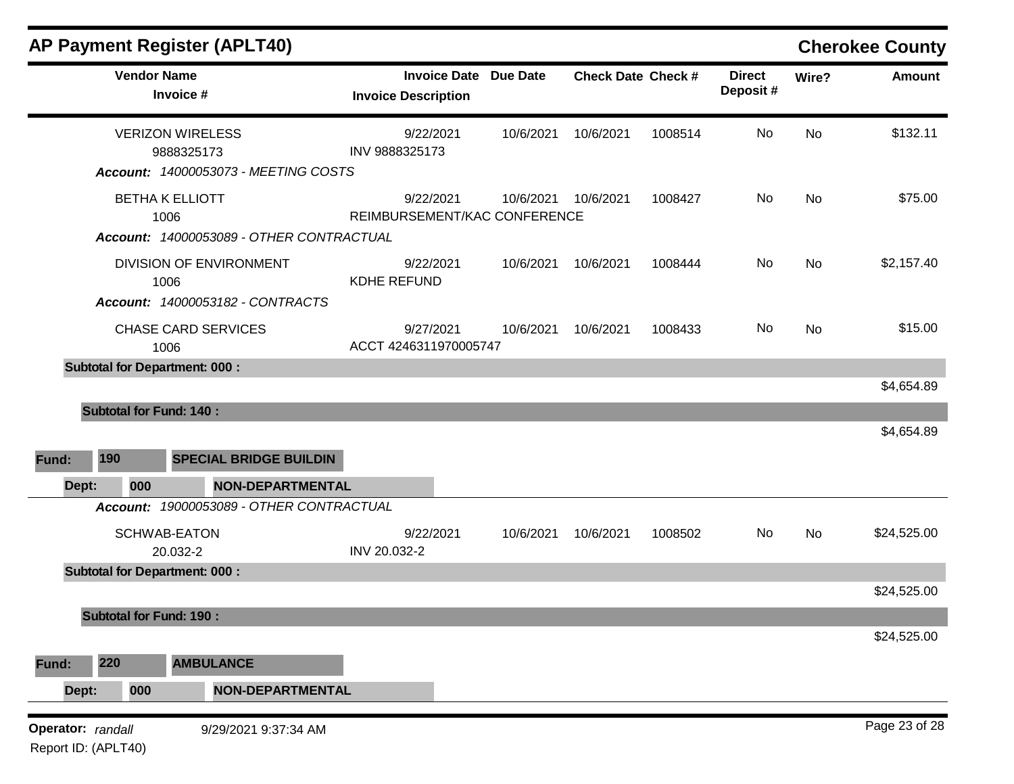| <b>AP Payment Register (APLT40)</b>                                                  |                                                            |           |                           |         |                           |           | <b>Cherokee County</b> |
|--------------------------------------------------------------------------------------|------------------------------------------------------------|-----------|---------------------------|---------|---------------------------|-----------|------------------------|
| <b>Vendor Name</b><br>Invoice #                                                      | <b>Invoice Date Due Date</b><br><b>Invoice Description</b> |           | <b>Check Date Check #</b> |         | <b>Direct</b><br>Deposit# | Wire?     | <b>Amount</b>          |
| <b>VERIZON WIRELESS</b><br>9888325173<br><b>Account: 14000053073 - MEETING COSTS</b> | 9/22/2021<br>INV 9888325173                                | 10/6/2021 | 10/6/2021                 | 1008514 | No                        | No        | \$132.11               |
| <b>BETHA K ELLIOTT</b><br>1006<br>Account: 14000053089 - OTHER CONTRACTUAL           | 9/22/2021<br>REIMBURSEMENT/KAC CONFERENCE                  | 10/6/2021 | 10/6/2021                 | 1008427 | No                        | <b>No</b> | \$75.00                |
| DIVISION OF ENVIRONMENT<br>1006<br>Account: 14000053182 - CONTRACTS                  | 9/22/2021<br><b>KDHE REFUND</b>                            | 10/6/2021 | 10/6/2021                 | 1008444 | No                        | <b>No</b> | \$2,157.40             |
| <b>CHASE CARD SERVICES</b><br>1006                                                   | 9/27/2021<br>ACCT 4246311970005747                         | 10/6/2021 | 10/6/2021                 | 1008433 | No                        | No        | \$15.00                |
| <b>Subtotal for Department: 000:</b>                                                 |                                                            |           |                           |         |                           |           |                        |
| <b>Subtotal for Fund: 140:</b>                                                       |                                                            |           |                           |         |                           |           | \$4,654.89             |
| 190<br><b>SPECIAL BRIDGE BUILDIN</b><br>Fund:                                        |                                                            |           |                           |         |                           |           | \$4,654.89             |
| <b>NON-DEPARTMENTAL</b><br>000<br>Dept:                                              |                                                            |           |                           |         |                           |           |                        |
| Account: 19000053089 - OTHER CONTRACTUAL<br>SCHWAB-EATON<br>20.032-2                 | 9/22/2021<br>INV 20.032-2                                  | 10/6/2021 | 10/6/2021                 | 1008502 | No                        | No        | \$24,525.00            |
| <b>Subtotal for Department: 000:</b>                                                 |                                                            |           |                           |         |                           |           | \$24,525.00            |
| <b>Subtotal for Fund: 190:</b>                                                       |                                                            |           |                           |         |                           |           |                        |
|                                                                                      |                                                            |           |                           |         |                           |           | \$24,525.00            |
| 220<br><b>AMBULANCE</b><br>Fund:                                                     |                                                            |           |                           |         |                           |           |                        |
| Dept:<br><b>NON-DEPARTMENTAL</b><br>000                                              |                                                            |           |                           |         |                           |           |                        |
| Operator: randall<br>9/29/2021 9:37:34 AM<br>Report ID: (APLT40)                     |                                                            |           |                           |         |                           |           | Page 23 of 28          |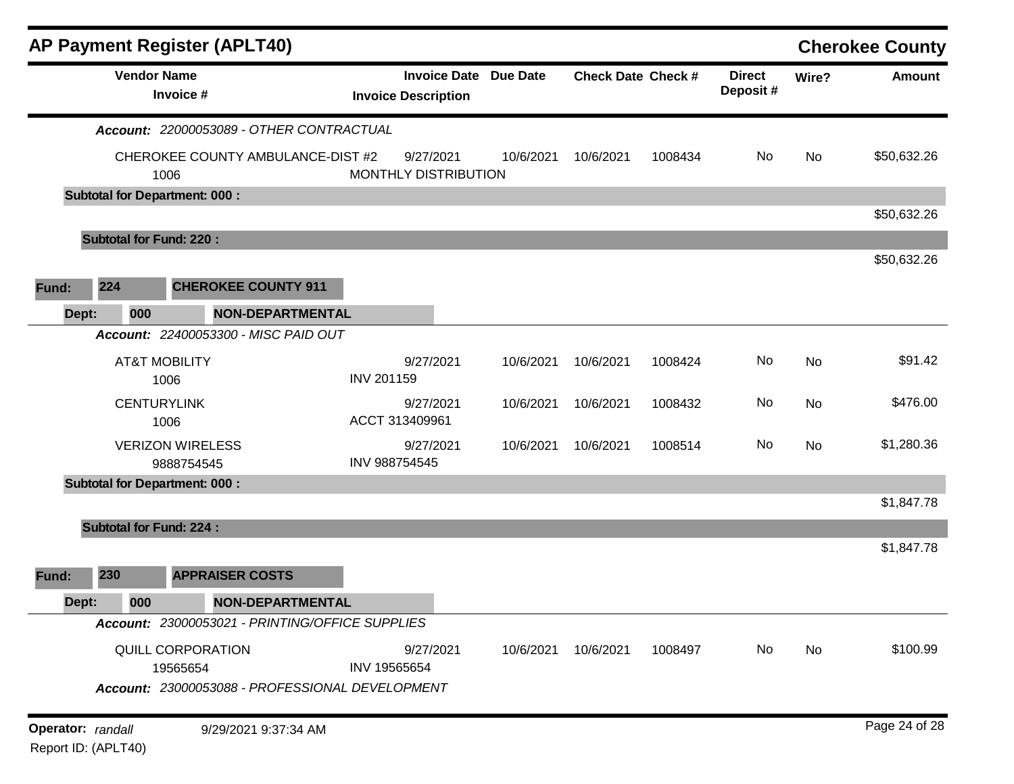| <b>AP Payment Register (APLT40)</b>                              |                                                            |           |                           |         |                            |           | <b>Cherokee County</b> |
|------------------------------------------------------------------|------------------------------------------------------------|-----------|---------------------------|---------|----------------------------|-----------|------------------------|
| <b>Vendor Name</b><br>Invoice #                                  | <b>Invoice Date Due Date</b><br><b>Invoice Description</b> |           | <b>Check Date Check #</b> |         | <b>Direct</b><br>Deposit # | Wire?     | <b>Amount</b>          |
| Account: 22000053089 - OTHER CONTRACTUAL                         |                                                            |           |                           |         |                            |           |                        |
| CHEROKEE COUNTY AMBULANCE-DIST #2<br>1006                        | 9/27/2021<br>MONTHLY DISTRIBUTION                          | 10/6/2021 | 10/6/2021                 | 1008434 | No                         | <b>No</b> | \$50,632.26            |
| <b>Subtotal for Department: 000:</b>                             |                                                            |           |                           |         |                            |           |                        |
|                                                                  |                                                            |           |                           |         |                            |           | \$50,632.26            |
| <b>Subtotal for Fund: 220:</b>                                   |                                                            |           |                           |         |                            |           |                        |
|                                                                  |                                                            |           |                           |         |                            |           | \$50,632.26            |
| 224<br><b>CHEROKEE COUNTY 911</b><br>Fund:                       |                                                            |           |                           |         |                            |           |                        |
| Dept:<br><b>NON-DEPARTMENTAL</b><br>000                          |                                                            |           |                           |         |                            |           |                        |
| Account: 22400053300 - MISC PAID OUT                             |                                                            |           |                           |         |                            |           |                        |
| <b>AT&amp;T MOBILITY</b><br>1006                                 | 9/27/2021<br><b>INV 201159</b>                             | 10/6/2021 | 10/6/2021                 | 1008424 | No                         | <b>No</b> | \$91.42                |
| <b>CENTURYLINK</b><br>1006                                       | 9/27/2021<br>ACCT 313409961                                | 10/6/2021 | 10/6/2021                 | 1008432 | No                         | No        | \$476.00               |
| <b>VERIZON WIRELESS</b><br>9888754545                            | 9/27/2021<br>INV 988754545                                 | 10/6/2021 | 10/6/2021                 | 1008514 | No                         | No        | \$1,280.36             |
| <b>Subtotal for Department: 000:</b>                             |                                                            |           |                           |         |                            |           |                        |
|                                                                  |                                                            |           |                           |         |                            |           | \$1,847.78             |
| <b>Subtotal for Fund: 224:</b>                                   |                                                            |           |                           |         |                            |           |                        |
|                                                                  |                                                            |           |                           |         |                            |           | \$1,847.78             |
| 230<br><b>APPRAISER COSTS</b><br>Fund:                           |                                                            |           |                           |         |                            |           |                        |
| 000<br><b>NON-DEPARTMENTAL</b><br>Dept:                          |                                                            |           |                           |         |                            |           |                        |
| Account: 23000053021 - PRINTING/OFFICE SUPPLIES                  |                                                            |           |                           |         |                            |           |                        |
| QUILL CORPORATION<br>19565654                                    | 9/27/2021<br>INV 19565654                                  | 10/6/2021 | 10/6/2021                 | 1008497 | No                         | No        | \$100.99               |
| Account: 23000053088 - PROFESSIONAL DEVELOPMENT                  |                                                            |           |                           |         |                            |           |                        |
| Operator: randall<br>9/29/2021 9:37:34 AM<br>Report ID: (APLT40) |                                                            |           |                           |         |                            |           | Page 24 of 28          |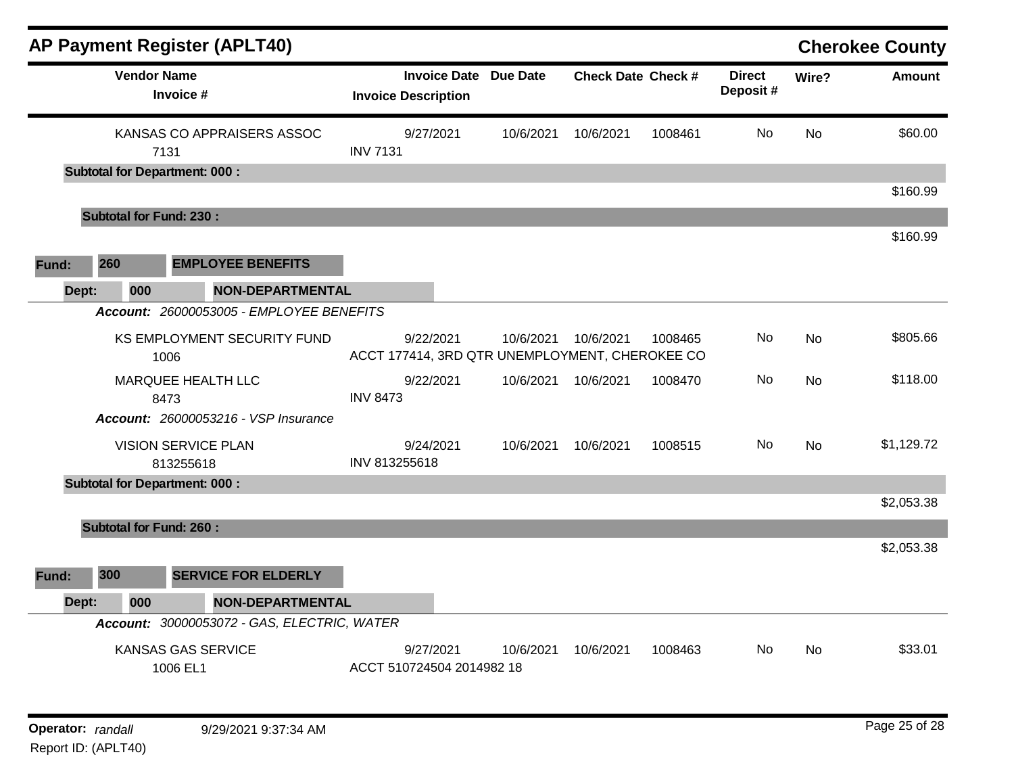| <b>AP Payment Register (APLT40)</b>     |                                             |                                        |                                                             |                           |         |                           |                | <b>Cherokee County</b> |
|-----------------------------------------|---------------------------------------------|----------------------------------------|-------------------------------------------------------------|---------------------------|---------|---------------------------|----------------|------------------------|
| <b>Vendor Name</b><br>Invoice #         |                                             | <b>Invoice Description</b>             | <b>Invoice Date Due Date</b>                                | <b>Check Date Check #</b> |         | <b>Direct</b><br>Deposit# | Wire?          | <b>Amount</b>          |
| 7131                                    | KANSAS CO APPRAISERS ASSOC                  | 9/27/2021<br><b>INV 7131</b>           | 10/6/2021                                                   | 10/6/2021                 | 1008461 | No.                       | <b>No</b>      | \$60.00                |
| <b>Subtotal for Department: 000:</b>    |                                             |                                        |                                                             |                           |         |                           |                | \$160.99               |
| <b>Subtotal for Fund: 230:</b>          |                                             |                                        |                                                             |                           |         |                           |                |                        |
|                                         |                                             |                                        |                                                             |                           |         |                           |                | \$160.99               |
| 260<br>Fund:                            | <b>EMPLOYEE BENEFITS</b>                    |                                        |                                                             |                           |         |                           |                |                        |
| Dept:<br>000                            | <b>NON-DEPARTMENTAL</b>                     |                                        |                                                             |                           |         |                           |                |                        |
|                                         | Account: 26000053005 - EMPLOYEE BENEFITS    |                                        |                                                             |                           |         |                           |                |                        |
| 1006                                    | KS EMPLOYMENT SECURITY FUND                 | 9/22/2021                              | 10/6/2021<br>ACCT 177414, 3RD QTR UNEMPLOYMENT, CHEROKEE CO | 10/6/2021                 | 1008465 | No.                       | <b>No</b>      | \$805.66               |
| MARQUEE HEALTH LLC                      |                                             | 9/22/2021                              | 10/6/2021                                                   | 10/6/2021                 | 1008470 | No                        | No             | \$118.00               |
| 8473                                    |                                             | <b>INV 8473</b>                        |                                                             |                           |         |                           |                |                        |
| Account: 26000053216 - VSP Insurance    |                                             |                                        |                                                             |                           |         |                           |                |                        |
| <b>VISION SERVICE PLAN</b><br>813255618 |                                             | 9/24/2021<br>INV 813255618             | 10/6/2021                                                   | 10/6/2021                 | 1008515 | No.                       | N <sub>o</sub> | \$1,129.72             |
| <b>Subtotal for Department: 000:</b>    |                                             |                                        |                                                             |                           |         |                           |                |                        |
|                                         |                                             |                                        |                                                             |                           |         |                           |                | \$2,053.38             |
| <b>Subtotal for Fund: 260:</b>          |                                             |                                        |                                                             |                           |         |                           |                |                        |
|                                         |                                             |                                        |                                                             |                           |         |                           |                | \$2,053.38             |
| 300<br>Fund:                            | <b>SERVICE FOR ELDERLY</b>                  |                                        |                                                             |                           |         |                           |                |                        |
| Dept:<br>000                            | <b>NON-DEPARTMENTAL</b>                     |                                        |                                                             |                           |         |                           |                |                        |
|                                         | Account: 30000053072 - GAS, ELECTRIC, WATER |                                        |                                                             |                           |         |                           |                |                        |
| KANSAS GAS SERVICE<br>1006 EL1          |                                             | 9/27/2021<br>ACCT 510724504 2014982 18 | 10/6/2021                                                   | 10/6/2021                 | 1008463 | No.                       | No             | \$33.01                |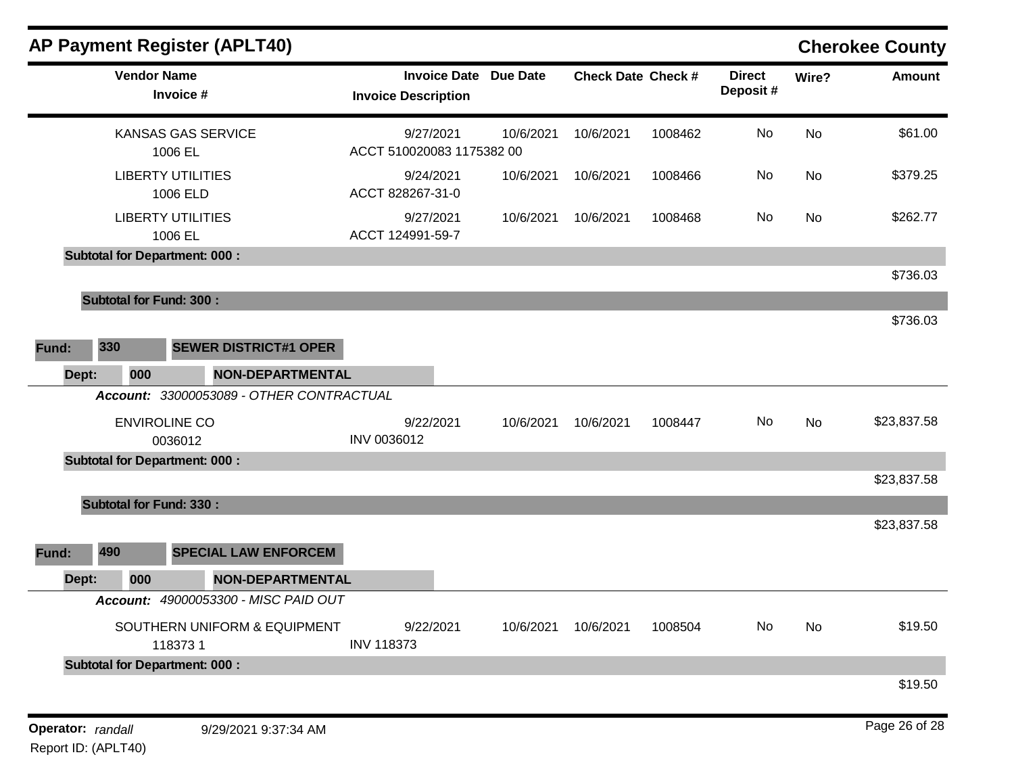|                   |                                 |     | <b>AP Payment Register (APLT40)</b>                        |                                                     |  |                           |                     |                           |       |               | <b>Cherokee County</b> |
|-------------------|---------------------------------|-----|------------------------------------------------------------|-----------------------------------------------------|--|---------------------------|---------------------|---------------------------|-------|---------------|------------------------|
|                   | <b>Vendor Name</b><br>Invoice # |     | <b>Invoice Date Due Date</b><br><b>Invoice Description</b> |                                                     |  | <b>Check Date Check #</b> |                     | <b>Direct</b><br>Deposit# | Wire? | <b>Amount</b> |                        |
|                   |                                 |     | KANSAS GAS SERVICE<br>1006 EL                              | 9/27/2021<br>10/6/2021<br>ACCT 510020083 1175382 00 |  | 10/6/2021                 | 1008462             | No                        | No    | \$61.00       |                        |
|                   |                                 |     | <b>LIBERTY UTILITIES</b><br>1006 ELD                       | 9/24/2021<br>ACCT 828267-31-0                       |  | 10/6/2021                 | 10/6/2021           | 1008466                   | No    | No            | \$379.25               |
|                   |                                 |     | <b>LIBERTY UTILITIES</b><br>1006 EL                        | 9/27/2021<br>ACCT 124991-59-7                       |  | 10/6/2021                 | 10/6/2021           | 1008468                   | No    | No            | \$262.77               |
|                   |                                 |     | <b>Subtotal for Department: 000:</b>                       |                                                     |  |                           |                     |                           |       |               |                        |
|                   |                                 |     |                                                            |                                                     |  |                           |                     |                           |       |               | \$736.03               |
|                   |                                 |     | <b>Subtotal for Fund: 300:</b>                             |                                                     |  |                           |                     |                           |       |               |                        |
|                   |                                 |     |                                                            |                                                     |  |                           |                     |                           |       |               | \$736.03               |
| Fund:             | 330                             |     | <b>SEWER DISTRICT#1 OPER</b>                               |                                                     |  |                           |                     |                           |       |               |                        |
|                   | Dept:                           | 000 | NON-DEPARTMENTAL                                           |                                                     |  |                           |                     |                           |       |               |                        |
|                   |                                 |     | Account: 33000053089 - OTHER CONTRACTUAL                   |                                                     |  |                           |                     |                           |       |               |                        |
|                   |                                 |     | <b>ENVIROLINE CO</b><br>0036012                            | 9/22/2021<br>INV 0036012                            |  | 10/6/2021                 | 10/6/2021           | 1008447                   | No    | No            | \$23,837.58            |
|                   |                                 |     | <b>Subtotal for Department: 000:</b>                       |                                                     |  |                           |                     |                           |       |               |                        |
|                   |                                 |     |                                                            |                                                     |  |                           |                     |                           |       |               | \$23,837.58            |
|                   |                                 |     | <b>Subtotal for Fund: 330:</b>                             |                                                     |  |                           |                     |                           |       |               |                        |
|                   |                                 |     |                                                            |                                                     |  |                           |                     |                           |       |               | \$23,837.58            |
| Fund:             | 490                             |     | <b>SPECIAL LAW ENFORCEM</b>                                |                                                     |  |                           |                     |                           |       |               |                        |
|                   | Dept:                           | 000 | <b>NON-DEPARTMENTAL</b>                                    |                                                     |  |                           |                     |                           |       |               |                        |
|                   |                                 |     | Account: 49000053300 - MISC PAID OUT                       |                                                     |  |                           |                     |                           |       |               |                        |
|                   |                                 |     | SOUTHERN UNIFORM & EQUIPMENT<br>1183731                    | 9/22/2021<br><b>INV 118373</b>                      |  |                           | 10/6/2021 10/6/2021 | 1008504                   | No    | No            | \$19.50                |
|                   |                                 |     | <b>Subtotal for Department: 000:</b>                       |                                                     |  |                           |                     |                           |       |               |                        |
|                   |                                 |     |                                                            |                                                     |  |                           |                     |                           |       |               | \$19.50                |
| Operator: randall |                                 |     | 9/29/2021 9:37:34 AM                                       |                                                     |  |                           |                     |                           |       |               | Page 26 of 28          |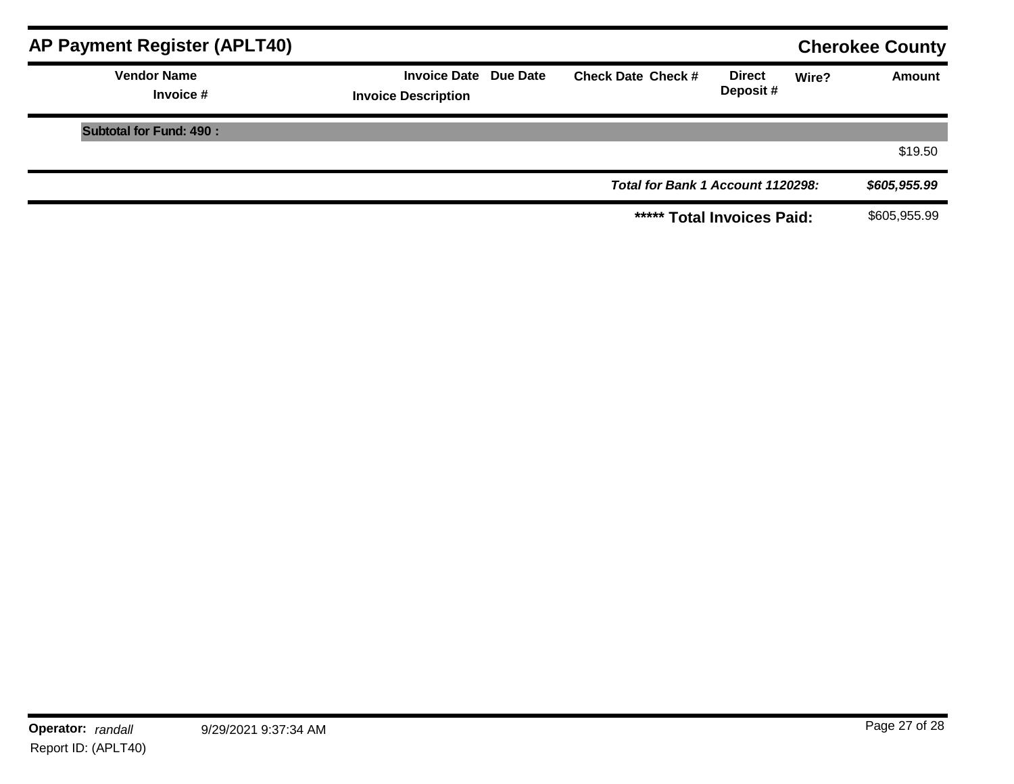| <b>AP Payment Register (APLT40)</b> |                                                     |                                   |                           | <b>Cherokee County</b> |               |
|-------------------------------------|-----------------------------------------------------|-----------------------------------|---------------------------|------------------------|---------------|
| <b>Vendor Name</b><br>Invoice #     | Invoice Date Due Date<br><b>Invoice Description</b> | <b>Check Date Check #</b>         | <b>Direct</b><br>Deposit# | Wire?                  | <b>Amount</b> |
| <b>Subtotal for Fund: 490:</b>      |                                                     |                                   |                           |                        |               |
|                                     |                                                     |                                   |                           |                        | \$19.50       |
|                                     |                                                     | Total for Bank 1 Account 1120298: |                           |                        | \$605,955.99  |
|                                     |                                                     | ***** Total Invoices Paid:        |                           |                        | \$605,955.99  |